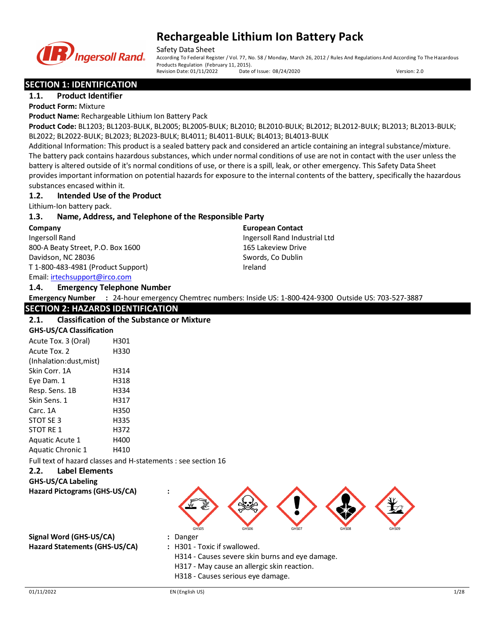

Safety Data Sheet

According To Federal Register / Vol. 77, No. 58 / Monday, March 26, 2012 / Rules And Regulations And According To The Hazardous Products Regulation (February 11, 2015).<br>Revision Date: 01/11/2022 Date of Issue: 08/24/2020 Revision Date: 01/11/2022 Date of Issue: 08/24/2020 Version: 2.0

## **SECTION 1: IDENTIFICATION**

**1.1. Product Identifier Product Form:** Mixture

**Product Name:** Rechargeable Lithium Ion Battery Pack

**Product Code:** BL1203; BL1203-BULK, BL2005; BL2005-BULK; BL2010; BL2010-BULK; BL2012; BL2012-BULK; BL2013; BL2013-BULK; BL2022; BL2022-BULK; BL2023; BL2023-BULK; BL4011; BL4011-BULK; BL4013; BL4013-BULK

Additional Information: This product is a sealed battery pack and considered an article containing an integral substance/mixture. The battery pack contains hazardous substances, which under normal conditions of use are not in contact with the user unless the battery is altered outside of it's normal conditions of use, or there is a spill, leak, or other emergency. This Safety Data Sheet provides important information on potential hazards for exposure to the internal contents of the battery, specifically the hazardous substances encased within it.

## **1.2. Intended Use of the Product**

Lithium-Ion battery pack.

## **1.3. Name, Address, and Telephone of the Responsible Party**

**Company** 

Ingersoll Rand 800-A Beaty Street, P.O. Box 1600 Davidson, NC 28036 T 1-800-483-4981 (Product Support)

Email: [irtechsupport@irco.com](mailto:irtechsupport@irco.com)

**1.4. Emergency Telephone Number**

**European Contact** Ingersoll Rand Industrial Ltd 165 Lakeview Drive Swords, Co Dublin Ireland

**Emergency Number :** 24-hour emergency Chemtrec numbers: Inside US: 1-800-424-9300 Outside US: 703-527-3887

## **SECTION 2: HAZARDS IDENTIFICATION**

### **2.1. Classification of the Substance or Mixture**

#### **GHS-US/CA Classification** Acute Tox. 3 (Oral) H301 Acute Tox. 2 H330

| ALULE I UA. Z            | טככוו |
|--------------------------|-------|
| (Inhalation:dust, mist)  |       |
| Skin Corr. 1A            | H314  |
| Eye Dam. 1               | H318  |
| Resp. Sens. 1B           | H334  |
| Skin Sens. 1             | H317  |
| Carc. 1A                 | H350  |
| STOT SE 3                | H335  |
| STOT RE 1                | H372  |
| Aquatic Acute 1          | H400  |
| <b>Aquatic Chronic 1</b> | H410  |

Full text of hazard classes and H-statements : see section 16

## **2.2. Label Elements**

**GHS-US/CA Labeling Hazard Pictograms (GHS-US/CA) :**

**Signal Word (GHS-US/CA) :** Danger **Hazard Statements (GHS-US/CA) :** H301 - Toxic if swallowed.

- 
- 
- H314 Causes severe skin burns and eye damage.

GHS05 GHS06 GHS07 GHS08 GHS09

- H317 May cause an allergic skin reaction.
- H318 Causes serious eye damage.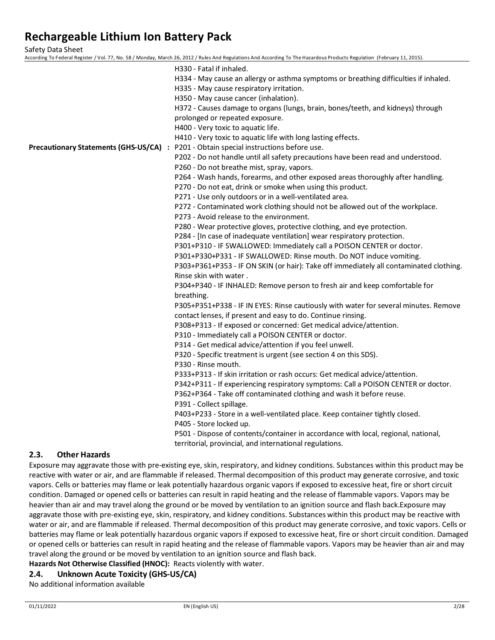Safety Data Sheet

According To Federal Register / Vol. 77, No. 58 / Monday, March 26, 2012 / Rules And Regulations And According To The Hazardous Products Regulation (February 11, 2015).

| H330 - Fatal if inhaled.                                                               |
|----------------------------------------------------------------------------------------|
| H334 - May cause an allergy or asthma symptoms or breathing difficulties if inhaled.   |
| H335 - May cause respiratory irritation.                                               |
| H350 - May cause cancer (inhalation).                                                  |
| H372 - Causes damage to organs (lungs, brain, bones/teeth, and kidneys) through        |
| prolonged or repeated exposure.                                                        |
| H400 - Very toxic to aquatic life.                                                     |
| H410 - Very toxic to aquatic life with long lasting effects.                           |
| Precautionary Statements (GHS-US/CA) : P201 - Obtain special instructions before use.  |
| P202 - Do not handle until all safety precautions have been read and understood.       |
| P260 - Do not breathe mist, spray, vapors.                                             |
| P264 - Wash hands, forearms, and other exposed areas thoroughly after handling.        |
| P270 - Do not eat, drink or smoke when using this product.                             |
| P271 - Use only outdoors or in a well-ventilated area.                                 |
| P272 - Contaminated work clothing should not be allowed out of the workplace.          |
| P273 - Avoid release to the environment.                                               |
| P280 - Wear protective gloves, protective clothing, and eye protection.                |
| P284 - [In case of inadequate ventilation] wear respiratory protection.                |
| P301+P310 - IF SWALLOWED: Immediately call a POISON CENTER or doctor.                  |
| P301+P330+P331 - IF SWALLOWED: Rinse mouth. Do NOT induce vomiting.                    |
| P303+P361+P353 - IF ON SKIN (or hair): Take off immediately all contaminated clothing. |
| Rinse skin with water.                                                                 |
| P304+P340 - IF INHALED: Remove person to fresh air and keep comfortable for            |
| breathing.                                                                             |
| P305+P351+P338 - IF IN EYES: Rinse cautiously with water for several minutes. Remove   |
| contact lenses, if present and easy to do. Continue rinsing.                           |
| P308+P313 - If exposed or concerned: Get medical advice/attention.                     |
| P310 - Immediately call a POISON CENTER or doctor.                                     |
| P314 - Get medical advice/attention if you feel unwell.                                |
| P320 - Specific treatment is urgent (see section 4 on this SDS).                       |
| P330 - Rinse mouth.                                                                    |
| P333+P313 - If skin irritation or rash occurs: Get medical advice/attention.           |
| P342+P311 - If experiencing respiratory symptoms: Call a POISON CENTER or doctor.      |
| P362+P364 - Take off contaminated clothing and wash it before reuse.                   |
| P391 - Collect spillage.                                                               |
| P403+P233 - Store in a well-ventilated place. Keep container tightly closed.           |
| P405 - Store locked up.                                                                |
| P501 - Dispose of contents/container in accordance with local, regional, national,     |
| territorial, provincial, and international regulations.                                |
|                                                                                        |

## **2.3. Other Hazards**

Exposure may aggravate those with pre-existing eye, skin, respiratory, and kidney conditions. Substances within this product may be reactive with water or air, and are flammable if released. Thermal decomposition of this product may generate corrosive, and toxic vapors. Cells or batteries may flame or leak potentially hazardous organic vapors if exposed to excessive heat, fire or short circuit condition. Damaged or opened cells or batteries can result in rapid heating and the release of flammable vapors. Vapors may be heavier than air and may travel along the ground or be moved by ventilation to an ignition source and flash back.Exposure may aggravate those with pre-existing eye, skin, respiratory, and kidney conditions. Substances within this product may be reactive with water or air, and are flammable if released. Thermal decomposition of this product may generate corrosive, and toxic vapors. Cells or batteries may flame or leak potentially hazardous organic vapors if exposed to excessive heat, fire or short circuit condition. Damaged or opened cells or batteries can result in rapid heating and the release of flammable vapors. Vapors may be heavier than air and may travel along the ground or be moved by ventilation to an ignition source and flash back.

**Hazards Not Otherwise Classified (HNOC):** Reacts violently with water.

## **2.4. Unknown Acute Toxicity (GHS-US/CA)**

No additional information available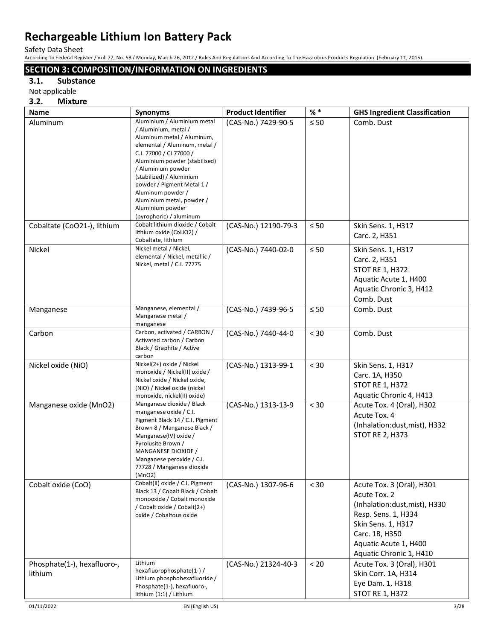Safety Data Sheet

According To Federal Register / Vol. 77, No. 58 / Monday, March 26, 2012 / Rules And Regulations And According To The Hazardous Products Regulation (February 11, 2015).

## **SECTION 3: COMPOSITION/INFORMATION ON INGREDIENTS**

## **3.1. Substance**

Not applicable

### **3.2. Mixture**

| <b>Name</b>                            | Synonyms                                                                                                                                                                                                                                                                                                                                                        | <b>Product Identifier</b> | $%$ $*$   | <b>GHS Ingredient Classification</b>                                                                                                                                                          |
|----------------------------------------|-----------------------------------------------------------------------------------------------------------------------------------------------------------------------------------------------------------------------------------------------------------------------------------------------------------------------------------------------------------------|---------------------------|-----------|-----------------------------------------------------------------------------------------------------------------------------------------------------------------------------------------------|
| Aluminum                               | Aluminium / Aluminium metal<br>/ Aluminium, metal /<br>Aluminum metal / Aluminum,<br>elemental / Aluminum, metal /<br>C.I. 77000 / CI 77000 /<br>Aluminium powder (stabilised)<br>/ Aluminium powder<br>(stabilized) / Aluminium<br>powder / Pigment Metal 1 /<br>Aluminum powder /<br>Aluminium metal, powder /<br>Aluminium powder<br>(pyrophoric) / aluminum | (CAS-No.) 7429-90-5       | $\leq 50$ | Comb. Dust                                                                                                                                                                                    |
| Cobaltate (CoO21-), lithium            | Cobalt lithium dioxide / Cobalt<br>lithium oxide (CoLiO2) /<br>Cobaltate, lithium                                                                                                                                                                                                                                                                               | (CAS-No.) 12190-79-3      | $\leq 50$ | Skin Sens. 1, H317<br>Carc. 2, H351                                                                                                                                                           |
| Nickel                                 | Nickel metal / Nickel,<br>elemental / Nickel, metallic /<br>Nickel, metal / C.I. 77775                                                                                                                                                                                                                                                                          | (CAS-No.) 7440-02-0       | $\leq 50$ | Skin Sens. 1, H317<br>Carc. 2, H351<br><b>STOT RE 1, H372</b><br>Aquatic Acute 1, H400<br>Aquatic Chronic 3, H412<br>Comb. Dust                                                               |
| Manganese                              | Manganese, elemental /<br>Manganese metal /<br>manganese                                                                                                                                                                                                                                                                                                        | (CAS-No.) 7439-96-5       | $\leq 50$ | Comb. Dust                                                                                                                                                                                    |
| Carbon                                 | Carbon, activated / CARBON /<br>Activated carbon / Carbon<br>Black / Graphite / Active<br>carbon                                                                                                                                                                                                                                                                | (CAS-No.) 7440-44-0       | < 30      | Comb. Dust                                                                                                                                                                                    |
| Nickel oxide (NiO)                     | Nickel(2+) oxide / Nickel<br>monoxide / Nickel(II) oxide /<br>Nickel oxide / Nickel oxide,<br>(NiO) / Nickel oxide (nickel<br>monoxide, nickel(II) oxide)                                                                                                                                                                                                       | (CAS-No.) 1313-99-1       | $< 30$    | Skin Sens. 1, H317<br>Carc. 1A, H350<br><b>STOT RE 1, H372</b><br>Aquatic Chronic 4, H413                                                                                                     |
| Manganese oxide (MnO2)                 | Manganese dioxide / Black<br>manganese oxide / C.I.<br>Pigment Black 14 / C.I. Pigment<br>Brown 8 / Manganese Black /<br>Manganese(IV) oxide /<br>Pyrolusite Brown /<br>MANGANESE DIOXIDE /<br>Manganese peroxide / C.I.<br>77728 / Manganese dioxide<br>(MnO2)                                                                                                 | (CAS-No.) 1313-13-9       | < 30      | Acute Tox. 4 (Oral), H302<br>Acute Tox. 4<br>(Inhalation:dust, mist), H332<br><b>STOT RE 2, H373</b>                                                                                          |
| Cobalt oxide (CoO)                     | Cobalt(II) oxide / C.I. Pigment<br>Black 13 / Cobalt Black / Cobalt<br>monooxide / Cobalt monoxide<br>/ Cobalt oxide / Cobalt(2+)<br>oxide / Cobaltous oxide                                                                                                                                                                                                    | (CAS-No.) 1307-96-6       | < 30      | Acute Tox. 3 (Oral), H301<br>Acute Tox. 2<br>(Inhalation:dust, mist), H330<br>Resp. Sens. 1, H334<br>Skin Sens. 1, H317<br>Carc. 1B, H350<br>Aquatic Acute 1, H400<br>Aquatic Chronic 1, H410 |
| Phosphate(1-), hexafluoro-,<br>lithium | Lithium<br>hexafluorophosphate(1-) /<br>Lithium phosphohexafluoride /<br>Phosphate(1-), hexafluoro-,<br>lithium (1:1) / Lithium                                                                                                                                                                                                                                 | (CAS-No.) 21324-40-3      | $< 20$    | Acute Tox. 3 (Oral), H301<br>Skin Corr. 1A, H314<br>Eye Dam. 1, H318<br><b>STOT RE 1, H372</b>                                                                                                |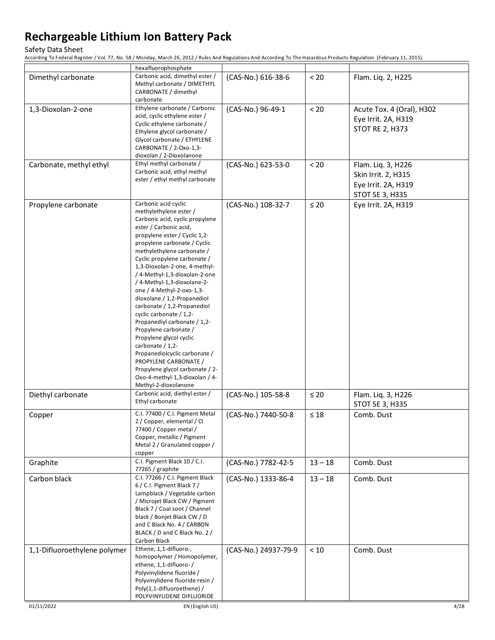#### Safety Data Sheet

|                              | hexafluorophosphate                                                                                                                                                                                                                                                                                                                                                                                                                                                                                                                                                                                                                                                                                                              |                      |           |                                                                                     |
|------------------------------|----------------------------------------------------------------------------------------------------------------------------------------------------------------------------------------------------------------------------------------------------------------------------------------------------------------------------------------------------------------------------------------------------------------------------------------------------------------------------------------------------------------------------------------------------------------------------------------------------------------------------------------------------------------------------------------------------------------------------------|----------------------|-----------|-------------------------------------------------------------------------------------|
| Dimethyl carbonate           | Carbonic acid, dimethyl ester /<br>Methyl carbonate / DIMETHYL<br>CARBONATE / dimethyl<br>carbonate                                                                                                                                                                                                                                                                                                                                                                                                                                                                                                                                                                                                                              | (CAS-No.) 616-38-6   | < 20      | Flam. Liq. 2, H225                                                                  |
| 1,3-Dioxolan-2-one           | Ethylene carbonate / Carbonic<br>acid, cyclic ethylene ester /<br>Cyclic ethylene carbonate /<br>Ethylene glycol carbonate /<br>Glycol carbonate / ETHYLENE<br>CARBONATE / 2-Oxo-1,3-<br>dioxolan / 2-Dioxolanone                                                                                                                                                                                                                                                                                                                                                                                                                                                                                                                | (CAS-No.) 96-49-1    | < 20      | Acute Tox. 4 (Oral), H302<br>Eye Irrit. 2A, H319<br><b>STOT RE 2, H373</b>          |
| Carbonate, methyl ethyl      | Ethyl methyl carbonate /<br>Carbonic acid, ethyl methyl<br>ester / ethyl methyl carbonate                                                                                                                                                                                                                                                                                                                                                                                                                                                                                                                                                                                                                                        | (CAS-No.) 623-53-0   | $< 20$    | Flam. Liq. 3, H226<br>Skin Irrit. 2, H315<br>Eye Irrit. 2A, H319<br>STOT SE 3, H335 |
| Propylene carbonate          | Carbonic acid cyclic<br>methylethylene ester /<br>Carbonic acid, cyclic propylene<br>ester / Carbonic acid,<br>propylene ester / Cyclic 1,2-<br>propylene carbonate / Cyclic<br>methylethylene carbonate /<br>Cyclic propylene carbonate /<br>1,3-Dioxolan-2-one, 4-methyl-<br>/ 4-Methyl-1,3-dioxolan-2-one<br>/ 4-Methyl-1,3-dioxolane-2-<br>one / 4-Methyl-2-oxo-1,3-<br>dioxolane / 1,2-Propanediol<br>carbonate / 1,2-Propanediol<br>cyclic carbonate / 1,2-<br>Propanediyl carbonate / 1,2-<br>Propylene carbonate /<br>Propylene glycol cyclic<br>carbonate / 1,2-<br>Propanediolcyclic carbonate /<br>PROPYLENE CARBONATE /<br>Propylene glycol carbonate / 2-<br>Oxo-4-methyl-1,3-dioxolan / 4-<br>Methyl-2-dioxolanone | (CAS-No.) 108-32-7   | $\leq 20$ | Eye Irrit. 2A, H319                                                                 |
| Diethyl carbonate            | Carbonic acid, diethyl ester /<br>Ethyl carbonate                                                                                                                                                                                                                                                                                                                                                                                                                                                                                                                                                                                                                                                                                | (CAS-No.) 105-58-8   | $\leq 20$ | Flam. Liq. 3, H226<br>STOT SE 3, H335                                               |
| Copper                       | C.I. 77400 / C.I. Pigment Metal<br>2 / Copper, elemental / CI<br>77400 / Copper metal /<br>Copper, metallic / Pigment<br>Metal 2 / Granulated copper /<br>copper                                                                                                                                                                                                                                                                                                                                                                                                                                                                                                                                                                 | (CAS-No.) 7440-50-8  | $\leq 18$ | Comb. Dust                                                                          |
| Graphite                     | C.I. Pigment Black 10 / C.I.<br>77265 / graphite                                                                                                                                                                                                                                                                                                                                                                                                                                                                                                                                                                                                                                                                                 | (CAS-No.) 7782-42-5  | $13 - 18$ | Comb. Dust                                                                          |
| Carbon black                 | C.I. 77266 / C.I. Pigment Black<br>6 / C.I. Pigment Black 7 /<br>Lampblack / Vegetable carbon<br>/ Microjet Black CW / Pigment<br>Black 7 / Coal soot / Channel<br>black / Bonjet Black CW / D<br>and C Black No. 4 / CARBON<br>BLACK / D and C Black No. 2 /<br>Carbon Black                                                                                                                                                                                                                                                                                                                                                                                                                                                    | (CAS-No.) 1333-86-4  | $13 - 18$ | Comb. Dust                                                                          |
| 1,1-Difluoroethylene polymer | Ethene, 1,1-difluoro-,<br>homopolymer / Homopolymer,<br>ethene, 1,1-difluoro-/<br>Polyvinylidene fluoride /<br>Polyvinylidene fluoride resin /<br>Poly(1,1-difluoroethene) /<br>POLYVINYLIDENE DIFLUORIDE                                                                                                                                                                                                                                                                                                                                                                                                                                                                                                                        | (CAS-No.) 24937-79-9 | $<10$     | Comb. Dust                                                                          |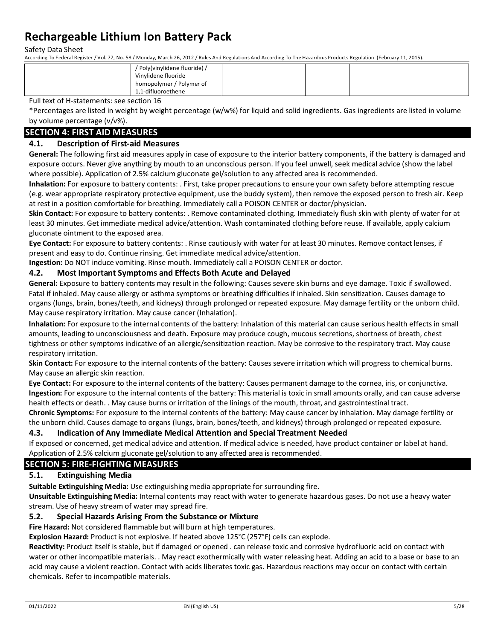Safety Data Sheet

According To Federal Register / Vol. 77, No. 58 / Monday, March 26, 2012 / Rules And Regulations And According To The Hazardous Products Regulation (February 11, 2015).

| homopolymer / Polymer of | / Poly(vinylidene fluoride) /<br>Vinylidene fluoride |  |  |
|--------------------------|------------------------------------------------------|--|--|
|                          | 1,1-difluoroethene                                   |  |  |

Full text of H-statements: see section 16

\*Percentages are listed in weight by weight percentage (w/w%) for liquid and solid ingredients. Gas ingredients are listed in volume by volume percentage (v/v%).

## **SECTION 4: FIRST AID MEASURES**

## **4.1. Description of First-aid Measures**

**General:** The following first aid measures apply in case of exposure to the interior battery components, if the battery is damaged and exposure occurs. Never give anything by mouth to an unconscious person. If you feel unwell, seek medical advice (show the label where possible). Application of 2.5% calcium gluconate gel/solution to any affected area is recommended.

**Inhalation:** For exposure to battery contents: . First, take proper precautions to ensure your own safety before attempting rescue (e.g. wear appropriate respiratory protective equipment, use the buddy system), then remove the exposed person to fresh air. Keep at rest in a position comfortable for breathing. Immediately call a POISON CENTER or doctor/physician.

**Skin Contact:** For exposure to battery contents: . Remove contaminated clothing. Immediately flush skin with plenty of water for at least 30 minutes. Get immediate medical advice/attention. Wash contaminated clothing before reuse. If available, apply calcium gluconate ointment to the exposed area.

**Eye Contact:** For exposure to battery contents: . Rinse cautiously with water for at least 30 minutes. Remove contact lenses, if present and easy to do. Continue rinsing. Get immediate medical advice/attention.

**Ingestion:** Do NOT induce vomiting. Rinse mouth. Immediately call a POISON CENTER or doctor.

### **4.2. Most Important Symptoms and Effects Both Acute and Delayed**

**General:** Exposure to battery contents may result in the following: Causes severe skin burns and eye damage. Toxic if swallowed. Fatal if inhaled. May cause allergy or asthma symptoms or breathing difficulties if inhaled. Skin sensitization. Causes damage to organs (lungs, brain, bones/teeth, and kidneys) through prolonged or repeated exposure. May damage fertility or the unborn child. May cause respiratory irritation. May cause cancer (Inhalation).

**Inhalation:** For exposure to the internal contents of the battery: Inhalation of this material can cause serious health effects in small amounts, leading to unconsciousness and death. Exposure may produce cough, mucous secretions, shortness of breath, chest tightness or other symptoms indicative of an allergic/sensitization reaction. May be corrosive to the respiratory tract. May cause respiratory irritation.

**Skin Contact:** For exposure to the internal contents of the battery: Causes severe irritation which will progress to chemical burns. May cause an allergic skin reaction.

**Eye Contact:** For exposure to the internal contents of the battery: Causes permanent damage to the cornea, iris, or conjunctiva. **Ingestion:** For exposure to the internal contents of the battery: This material is toxic in small amounts orally, and can cause adverse health effects or death. . May cause burns or irritation of the linings of the mouth, throat, and gastrointestinal tract.

**Chronic Symptoms:** For exposure to the internal contents of the battery: May cause cancer by inhalation. May damage fertility or the unborn child. Causes damage to organs (lungs, brain, bones/teeth, and kidneys) through prolonged or repeated exposure.

### **4.3. Indication of Any Immediate Medical Attention and Special Treatment Needed**

If exposed or concerned, get medical advice and attention. If medical advice is needed, have product container or label at hand. Application of 2.5% calcium gluconate gel/solution to any affected area is recommended.

### **SECTION 5: FIRE-FIGHTING MEASURES**

## **5.1. Extinguishing Media**

**Suitable Extinguishing Media:** Use extinguishing media appropriate for surrounding fire.

**Unsuitable Extinguishing Media:** Internal contents may react with water to generate hazardous gases. Do not use a heavy water stream. Use of heavy stream of water may spread fire.

## **5.2. Special Hazards Arising From the Substance or Mixture**

**Fire Hazard:** Not considered flammable but will burn at high temperatures.

**Explosion Hazard:** Product is not explosive. If heated above 125°C (257°F) cells can explode.

**Reactivity:** Product itself is stable, but if damaged or opened . can release toxic and corrosive hydrofluoric acid on contact with water or other incompatible materials. . May react exothermically with water releasing heat. Adding an acid to a base or base to an acid may cause a violent reaction. Contact with acids liberates toxic gas. Hazardous reactions may occur on contact with certain chemicals. Refer to incompatible materials.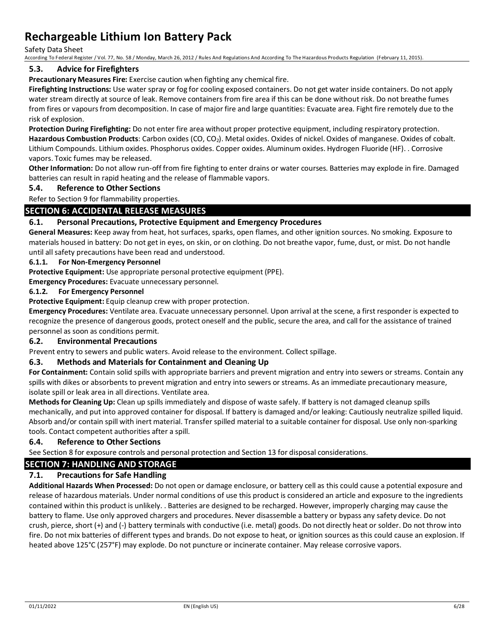Safety Data Sheet

According To Federal Register / Vol. 77, No. 58 / Monday, March 26, 2012 / Rules And Regulations And According To The Hazardous Products Regulation (February 11, 2015).

### **5.3. Advice for Firefighters**

**Precautionary Measures Fire:** Exercise caution when fighting any chemical fire.

**Firefighting Instructions:** Use water spray or fog for cooling exposed containers. Do not get water inside containers. Do not apply water stream directly at source of leak. Remove containers from fire area if this can be done without risk. Do not breathe fumes from fires or vapours from decomposition. In case of major fire and large quantities: Evacuate area. Fight fire remotely due to the risk of explosion.

**Protection During Firefighting:** Do not enter fire area without proper protective equipment, including respiratory protection. Hazardous Combustion Products: Carbon oxides (CO, CO<sub>2</sub>). Metal oxides. Oxides of nickel. Oxides of manganese. Oxides of cobalt. Lithium Compounds. Lithium oxides. Phosphorus oxides. Copper oxides. Aluminum oxides. Hydrogen Fluoride (HF). . Corrosive vapors. Toxic fumes may be released.

**Other Information:** Do not allow run-off from fire fighting to enter drains or water courses. Batteries may explode in fire. Damaged batteries can result in rapid heating and the release of flammable vapors.

## **5.4. Reference to Other Sections**

Refer to Section 9 for flammability properties.

## **SECTION 6: ACCIDENTAL RELEASE MEASURES**

### **6.1. Personal Precautions, Protective Equipment and Emergency Procedures**

**General Measures:** Keep away from heat, hot surfaces, sparks, open flames, and other ignition sources. No smoking. Exposure to materials housed in battery: Do not get in eyes, on skin, or on clothing. Do not breathe vapor, fume, dust, or mist. Do not handle until all safety precautions have been read and understood.

#### **6.1.1. For Non-Emergency Personnel**

**Protective Equipment:** Use appropriate personal protective equipment (PPE).

**Emergency Procedures:** Evacuate unnecessary personnel.

### **6.1.2. For Emergency Personnel**

**Protective Equipment:** Equip cleanup crew with proper protection.

**Emergency Procedures:** Ventilate area. Evacuate unnecessary personnel. Upon arrival at the scene, a first responder is expected to recognize the presence of dangerous goods, protect oneself and the public, secure the area, and call for the assistance of trained personnel as soon as conditions permit.

### **6.2. Environmental Precautions**

Prevent entry to sewers and public waters. Avoid release to the environment. Collect spillage.

### **6.3. Methods and Materials for Containment and Cleaning Up**

**For Containment:** Contain solid spills with appropriate barriers and prevent migration and entry into sewers or streams. Contain any spills with dikes or absorbents to prevent migration and entry into sewers or streams. As an immediate precautionary measure, isolate spill or leak area in all directions. Ventilate area.

**Methods for Cleaning Up:** Clean up spills immediately and dispose of waste safely. If battery is not damaged cleanup spills mechanically, and put into approved container for disposal. If battery is damaged and/or leaking: Cautiously neutralize spilled liquid. Absorb and/or contain spill with inert material. Transfer spilled material to a suitable container for disposal. Use only non-sparking tools. Contact competent authorities after a spill.

### **6.4. Reference to Other Sections**

See Section 8 for exposure controls and personal protection and Section 13 for disposal considerations.

## **SECTION 7: HANDLING AND STORAGE**

## **7.1. Precautions for Safe Handling**

**Additional Hazards When Processed:** Do not open or damage enclosure, or battery cell as this could cause a potential exposure and release of hazardous materials. Under normal conditions of use this product is considered an article and exposure to the ingredients contained within this product is unlikely. . Batteries are designed to be recharged. However, improperly charging may cause the battery to flame. Use only approved chargers and procedures. Never disassemble a battery or bypass any safety device. Do not crush, pierce, short (+) and (-) battery terminals with conductive (i.e. metal) goods. Do not directly heat or solder. Do not throw into fire. Do not mix batteries of different types and brands. Do not expose to heat, or ignition sources as this could cause an explosion. If heated above 125°C (257°F) may explode. Do not puncture or incinerate container. May release corrosive vapors.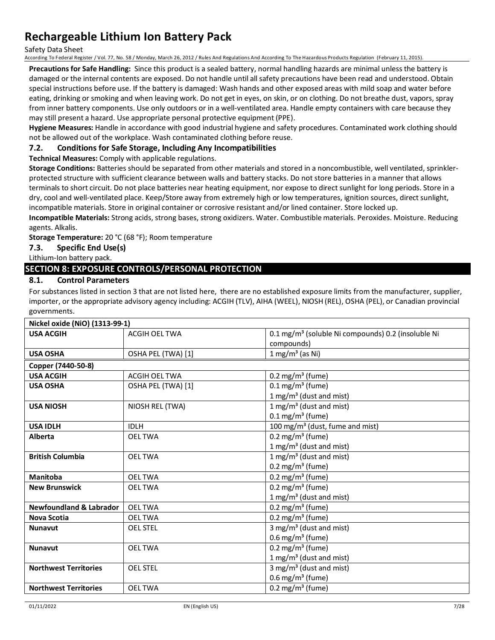Safety Data Sheet

According To Federal Register / Vol. 77, No. 58 / Monday, March 26, 2012 / Rules And Regulations And According To The Hazardous Products Regulation (February 11, 2015).

**Precautions for Safe Handling:** Since this product is a sealed battery, normal handling hazards are minimal unless the battery is damaged or the internal contents are exposed. Do not handle until all safety precautions have been read and understood. Obtain special instructions before use. If the battery is damaged: Wash hands and other exposed areas with mild soap and water before eating, drinking or smoking and when leaving work. Do not get in eyes, on skin, or on clothing. Do not breathe dust, vapors, spray from inner battery components. Use only outdoors or in a well-ventilated area. Handle empty containers with care because they may still present a hazard. Use appropriate personal protective equipment (PPE).

**Hygiene Measures:** Handle in accordance with good industrial hygiene and safety procedures. Contaminated work clothing should not be allowed out of the workplace. Wash contaminated clothing before reuse.

### **7.2. Conditions for Safe Storage, Including Any Incompatibilities**

**Technical Measures:** Comply with applicable regulations.

**Storage Conditions:** Batteries should be separated from other materials and stored in a noncombustible, well ventilated, sprinklerprotected structure with sufficient clearance between walls and battery stacks. Do not store batteries in a manner that allows terminals to short circuit. Do not place batteries near heating equipment, nor expose to direct sunlight for long periods. Store in a dry, cool and well-ventilated place. Keep/Store away from extremely high or low temperatures, ignition sources, direct sunlight, incompatible materials. Store in original container or corrosive resistant and/or lined container. Store locked up.

**Incompatible Materials:** Strong acids, strong bases, strong oxidizers. Water. Combustible materials. Peroxides. Moisture. Reducing agents. Alkalis.

**Storage Temperature:** 20 °C (68 °F); Room temperature

## **7.3. Specific End Use(s)**

Lithium-Ion battery pack.

## **SECTION 8: EXPOSURE CONTROLS/PERSONAL PROTECTION**

## **8.1. Control Parameters**

For substances listed in section 3 that are not listed here, there are no established exposure limits from the manufacturer, supplier, importer, or the appropriate advisory agency including: ACGIH (TLV), AIHA (WEEL), NIOSH (REL), OSHA (PEL), or Canadian provincial governments.

| Nickel oxide (NiO) (1313-99-1)     |                      |                                                                |
|------------------------------------|----------------------|----------------------------------------------------------------|
| <b>USA ACGIH</b>                   | <b>ACGIH OEL TWA</b> | 0.1 mg/m <sup>3</sup> (soluble Ni compounds) 0.2 (insoluble Ni |
|                                    |                      | compounds)                                                     |
| <b>USA OSHA</b>                    | OSHA PEL (TWA) [1]   | $1 \text{ mg/m}^3$ (as Ni)                                     |
| Copper (7440-50-8)                 |                      |                                                                |
| <b>USA ACGIH</b>                   | <b>ACGIH OEL TWA</b> | $0.2 \text{ mg/m}^3$ (fume)                                    |
| <b>USA OSHA</b>                    | OSHA PEL (TWA) [1]   | $0.1 \text{ mg/m}^3$ (fume)                                    |
|                                    |                      | 1 mg/m <sup>3</sup> (dust and mist)                            |
| <b>USA NIOSH</b>                   | NIOSH REL (TWA)      | 1 mg/m <sup>3</sup> (dust and mist)                            |
|                                    |                      | $0.1 \,\mathrm{mg/m^3}$ (fume)                                 |
| <b>USA IDLH</b>                    | <b>IDLH</b>          | 100 mg/m <sup>3</sup> (dust, fume and mist)                    |
| <b>Alberta</b>                     | <b>OELTWA</b>        | $0.2 \text{ mg/m}^3$ (fume)                                    |
|                                    |                      | 1 mg/m <sup>3</sup> (dust and mist)                            |
| <b>British Columbia</b>            | <b>OEL TWA</b>       | 1 mg/m <sup>3</sup> (dust and mist)                            |
|                                    |                      | $0.2 \text{ mg/m}^3 \text{ (fume)}$                            |
| Manitoba                           | <b>OELTWA</b>        | $0.2$ mg/m <sup>3</sup> (fume)                                 |
| <b>New Brunswick</b>               | <b>OELTWA</b>        | $0.2 \text{ mg/m}^3$ (fume)                                    |
|                                    |                      | 1 mg/m <sup>3</sup> (dust and mist)                            |
| <b>Newfoundland &amp; Labrador</b> | <b>OELTWA</b>        | $0.2 \text{ mg/m}^3 \text{ (fume)}$                            |
| <b>Nova Scotia</b>                 | <b>OEL TWA</b>       | $0.2 \text{ mg/m}^3$ (fume)                                    |
| <b>Nunavut</b>                     | <b>OEL STEL</b>      | 3 mg/m <sup>3</sup> (dust and mist)                            |
|                                    |                      | $0.6$ mg/m <sup>3</sup> (fume)                                 |
| <b>Nunavut</b>                     | <b>OEL TWA</b>       | $0.2 \text{ mg/m}^3$ (fume)                                    |
|                                    |                      | 1 mg/m <sup>3</sup> (dust and mist)                            |
| <b>Northwest Territories</b>       | <b>OEL STEL</b>      | 3 mg/m <sup>3</sup> (dust and mist)                            |
|                                    |                      | $0.6$ mg/m <sup>3</sup> (fume)                                 |
| <b>Northwest Territories</b>       | <b>OELTWA</b>        | 0.2 mg/m <sup>3</sup> (fume)                                   |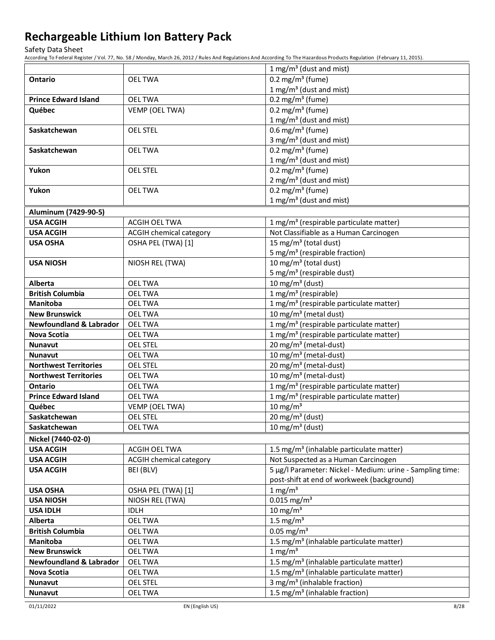Safety Data Sheet

|                                                |                                  | 1 mg/m <sup>3</sup> (dust and mist)                                    |
|------------------------------------------------|----------------------------------|------------------------------------------------------------------------|
| <b>Ontario</b>                                 | <b>OELTWA</b>                    | 0.2 mg/m <sup>3</sup> (fume)                                           |
|                                                |                                  | 1 mg/m <sup>3</sup> (dust and mist)                                    |
| <b>Prince Edward Island</b>                    | <b>OEL TWA</b>                   | 0.2 mg/m <sup>3</sup> (fume)                                           |
| Québec                                         | VEMP (OEL TWA)                   | 0.2 mg/m <sup>3</sup> (fume)                                           |
|                                                |                                  | 1 mg/m <sup>3</sup> (dust and mist)                                    |
| Saskatchewan                                   | <b>OEL STEL</b>                  | $0.6$ mg/m <sup>3</sup> (fume)                                         |
|                                                |                                  | 3 mg/m <sup>3</sup> (dust and mist)                                    |
| Saskatchewan                                   | <b>OELTWA</b>                    | 0.2 mg/m <sup>3</sup> (fume)                                           |
|                                                |                                  | 1 mg/m <sup>3</sup> (dust and mist)                                    |
| Yukon                                          | <b>OEL STEL</b>                  | 0.2 mg/m <sup>3</sup> (fume)                                           |
|                                                |                                  | 2 mg/m <sup>3</sup> (dust and mist)                                    |
| Yukon                                          | <b>OELTWA</b>                    | 0.2 mg/m <sup>3</sup> (fume)                                           |
|                                                |                                  | 1 mg/m <sup>3</sup> (dust and mist)                                    |
| Aluminum (7429-90-5)                           |                                  |                                                                        |
| <b>USA ACGIH</b>                               | ACGIH OEL TWA                    | 1 mg/m <sup>3</sup> (respirable particulate matter)                    |
| <b>USA ACGIH</b>                               | <b>ACGIH chemical category</b>   | Not Classifiable as a Human Carcinogen                                 |
| <b>USA OSHA</b>                                | OSHA PEL (TWA) [1]               | 15 mg/m <sup>3</sup> (total dust)                                      |
|                                                |                                  | 5 mg/m <sup>3</sup> (respirable fraction)                              |
| <b>USA NIOSH</b>                               | NIOSH REL (TWA)                  | 10 mg/m <sup>3</sup> (total dust)                                      |
|                                                |                                  | 5 mg/m <sup>3</sup> (respirable dust)                                  |
| Alberta                                        | <b>OEL TWA</b>                   | 10 mg/m <sup>3</sup> (dust)                                            |
| <b>British Columbia</b>                        | <b>OEL TWA</b>                   | 1 mg/m <sup>3</sup> (respirable)                                       |
| <b>Manitoba</b>                                | <b>OELTWA</b>                    | 1 mg/m <sup>3</sup> (respirable particulate matter)                    |
| <b>New Brunswick</b>                           | <b>OELTWA</b>                    | 10 mg/m <sup>3</sup> (metal dust)                                      |
| <b>Newfoundland &amp; Labrador</b>             | <b>OELTWA</b>                    | 1 mg/m <sup>3</sup> (respirable particulate matter)                    |
| Nova Scotia                                    | <b>OELTWA</b>                    | 1 mg/m <sup>3</sup> (respirable particulate matter)                    |
| <b>Nunavut</b>                                 | <b>OEL STEL</b>                  | 20 mg/m <sup>3</sup> (metal-dust)<br>10 mg/m <sup>3</sup> (metal-dust) |
| <b>Nunavut</b><br><b>Northwest Territories</b> | <b>OELTWA</b><br><b>OEL STEL</b> | 20 mg/m <sup>3</sup> (metal-dust)                                      |
| <b>Northwest Territories</b>                   | <b>OELTWA</b>                    | 10 mg/m <sup>3</sup> (metal-dust)                                      |
| Ontario                                        | <b>OELTWA</b>                    | 1 mg/m <sup>3</sup> (respirable particulate matter)                    |
| <b>Prince Edward Island</b>                    | <b>OELTWA</b>                    | 1 mg/m <sup>3</sup> (respirable particulate matter)                    |
| Québec                                         | VEMP (OEL TWA)                   | $10 \text{ mg/m}^3$                                                    |
| Saskatchewan                                   | <b>OEL STEL</b>                  | $20 \text{ mg/m}^3$ (dust)                                             |
| Saskatchewan                                   | <b>OELTWA</b>                    | 10 mg/m $3$ (dust)                                                     |
| Nickel (7440-02-0)                             |                                  |                                                                        |
| <b>USA ACGIH</b>                               | ACGIH OEL TWA                    | 1.5 mg/m <sup>3</sup> (inhalable particulate matter)                   |
| <b>USA ACGIH</b>                               | <b>ACGIH chemical category</b>   | Not Suspected as a Human Carcinogen                                    |
| <b>USA ACGIH</b>                               | BEI (BLV)                        | 5 µg/l Parameter: Nickel - Medium: urine - Sampling time:              |
|                                                |                                  | post-shift at end of workweek (background)                             |
| <b>USA OSHA</b>                                | OSHA PEL (TWA) [1]               | $1$ mg/m <sup>3</sup>                                                  |
| <b>USA NIOSH</b>                               | NIOSH REL (TWA)                  | $0.015$ mg/m <sup>3</sup>                                              |
| <b>USA IDLH</b>                                | <b>IDLH</b>                      | $10 \text{ mg/m}^3$                                                    |
| Alberta                                        | <b>OELTWA</b>                    | 1.5 mg/ $m3$                                                           |
| <b>British Columbia</b>                        | <b>OELTWA</b>                    | $0.05$ mg/m <sup>3</sup>                                               |
| Manitoba                                       | <b>OELTWA</b>                    | 1.5 mg/m <sup>3</sup> (inhalable particulate matter)                   |
| <b>New Brunswick</b>                           | <b>OELTWA</b>                    | $1 \text{ mg/m}^3$                                                     |
| <b>Newfoundland &amp; Labrador</b>             | <b>OELTWA</b>                    | 1.5 mg/m <sup>3</sup> (inhalable particulate matter)                   |
| Nova Scotia                                    | <b>OELTWA</b>                    | 1.5 mg/m <sup>3</sup> (inhalable particulate matter)                   |
| <b>Nunavut</b>                                 | <b>OEL STEL</b>                  | 3 mg/m <sup>3</sup> (inhalable fraction)                               |
| <b>Nunavut</b>                                 | <b>OELTWA</b>                    | 1.5 mg/m <sup>3</sup> (inhalable fraction)                             |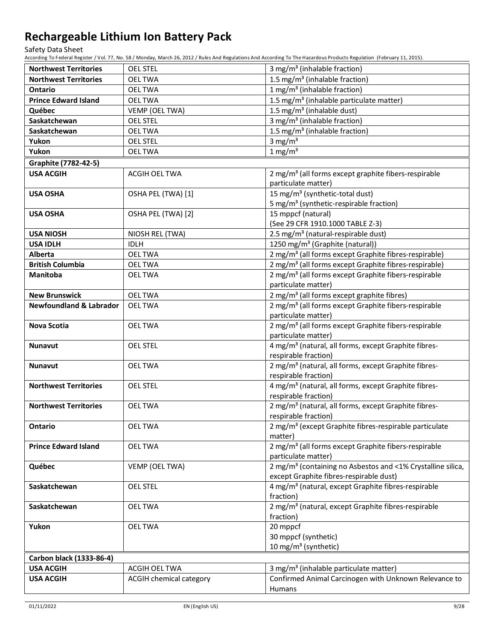Safety Data Sheet

| 1.5 mg/m <sup>3</sup> (inhalable fraction)<br><b>Northwest Territories</b><br><b>OELTWA</b><br>1 mg/m <sup>3</sup> (inhalable fraction)<br><b>Ontario</b><br><b>OELTWA</b><br><b>Prince Edward Island</b><br>1.5 mg/m <sup>3</sup> (inhalable particulate matter)<br><b>OELTWA</b><br>1.5 mg/m <sup>3</sup> (inhalable dust)<br>Québec<br>VEMP (OEL TWA)<br>Saskatchewan<br>3 mg/m <sup>3</sup> (inhalable fraction)<br><b>OEL STEL</b><br>1.5 mg/m <sup>3</sup> (inhalable fraction)<br>Saskatchewan<br><b>OELTWA</b><br>3 mg/ $m3$<br>Yukon<br><b>OEL STEL</b><br>$1 \text{ mg/m}^3$<br>Yukon<br><b>OEL TWA</b><br>Graphite (7782-42-5)<br><b>USA ACGIH</b><br>2 mg/m <sup>3</sup> (all forms except graphite fibers-respirable<br>ACGIH OEL TWA<br>particulate matter)<br>15 mg/m <sup>3</sup> (synthetic-total dust)<br>OSHA PEL (TWA) [1]<br><b>USA OSHA</b><br>5 mg/m <sup>3</sup> (synthetic-respirable fraction)<br>15 mppcf (natural)<br><b>USA OSHA</b><br>OSHA PEL (TWA) [2]<br>(See 29 CFR 1910.1000 TABLE Z-3)<br>2.5 mg/m <sup>3</sup> (natural-respirable dust)<br><b>USA NIOSH</b><br>NIOSH REL (TWA)<br><b>USA IDLH</b><br>1250 mg/m <sup>3</sup> (Graphite (natural))<br><b>IDLH</b><br>2 mg/m <sup>3</sup> (all forms except Graphite fibres-respirable)<br>Alberta<br><b>OEL TWA</b><br>2 mg/m <sup>3</sup> (all forms except Graphite fibres-respirable)<br><b>British Columbia</b><br>OEL TWA<br>2 mg/m <sup>3</sup> (all forms except Graphite fibers-respirable<br>Manitoba<br><b>OEL TWA</b><br>particulate matter)<br><b>New Brunswick</b><br>2 mg/m <sup>3</sup> (all forms except graphite fibres)<br><b>OELTWA</b><br><b>Newfoundland &amp; Labrador</b><br>2 mg/m <sup>3</sup> (all forms except Graphite fibers-respirable<br><b>OEL TWA</b><br>particulate matter)<br>2 mg/m <sup>3</sup> (all forms except Graphite fibers-respirable<br><b>Nova Scotia</b><br><b>OELTWA</b><br>particulate matter)<br>4 mg/m <sup>3</sup> (natural, all forms, except Graphite fibres-<br><b>OEL STEL</b><br><b>Nunavut</b><br>respirable fraction)<br>2 mg/m <sup>3</sup> (natural, all forms, except Graphite fibres-<br><b>OELTWA</b><br><b>Nunavut</b><br>respirable fraction)<br>4 mg/m <sup>3</sup> (natural, all forms, except Graphite fibres-<br><b>Northwest Territories</b><br><b>OEL STEL</b><br>respirable fraction)<br>2 mg/m <sup>3</sup> (natural, all forms, except Graphite fibres-<br><b>Northwest Territories</b><br><b>OELTWA</b><br>respirable fraction)<br>2 mg/m <sup>3</sup> (except Graphite fibres-respirable particulate<br><b>Ontario</b><br><b>OEL TWA</b><br>matter)<br>2 mg/m <sup>3</sup> (all forms except Graphite fibers-respirable<br><b>Prince Edward Island</b><br><b>OELTWA</b><br>particulate matter)<br>2 mg/m <sup>3</sup> (containing no Asbestos and <1% Crystalline silica,<br>Québec<br>VEMP (OEL TWA)<br>except Graphite fibres-respirable dust)<br>4 mg/m <sup>3</sup> (natural, except Graphite fibres-respirable<br><b>OEL STEL</b><br>Saskatchewan<br>fraction)<br>2 mg/m <sup>3</sup> (natural, except Graphite fibres-respirable<br>Saskatchewan<br><b>OELTWA</b><br>fraction)<br>Yukon<br><b>OELTWA</b><br>20 mppcf<br>30 mppcf (synthetic)<br>10 mg/m <sup>3</sup> (synthetic)<br>Carbon black (1333-86-4)<br>3 mg/m <sup>3</sup> (inhalable particulate matter)<br><b>USA ACGIH</b><br>ACGIH OEL TWA<br>Confirmed Animal Carcinogen with Unknown Relevance to<br><b>USA ACGIH</b><br><b>ACGIH chemical category</b> | <b>Northwest Territories</b> | <b>OEL STEL</b> | 3 mg/m <sup>3</sup> (inhalable fraction) |
|------------------------------------------------------------------------------------------------------------------------------------------------------------------------------------------------------------------------------------------------------------------------------------------------------------------------------------------------------------------------------------------------------------------------------------------------------------------------------------------------------------------------------------------------------------------------------------------------------------------------------------------------------------------------------------------------------------------------------------------------------------------------------------------------------------------------------------------------------------------------------------------------------------------------------------------------------------------------------------------------------------------------------------------------------------------------------------------------------------------------------------------------------------------------------------------------------------------------------------------------------------------------------------------------------------------------------------------------------------------------------------------------------------------------------------------------------------------------------------------------------------------------------------------------------------------------------------------------------------------------------------------------------------------------------------------------------------------------------------------------------------------------------------------------------------------------------------------------------------------------------------------------------------------------------------------------------------------------------------------------------------------------------------------------------------------------------------------------------------------------------------------------------------------------------------------------------------------------------------------------------------------------------------------------------------------------------------------------------------------------------------------------------------------------------------------------------------------------------------------------------------------------------------------------------------------------------------------------------------------------------------------------------------------------------------------------------------------------------------------------------------------------------------------------------------------------------------------------------------------------------------------------------------------------------------------------------------------------------------------------------------------------------------------------------------------------------------------------------------------------------------------------------------------------------------------------------------------------------------------------------------------------------------------------------------------------------------------------------------------------------------------------------------------------------------------------------------------------------------------------|------------------------------|-----------------|------------------------------------------|
|                                                                                                                                                                                                                                                                                                                                                                                                                                                                                                                                                                                                                                                                                                                                                                                                                                                                                                                                                                                                                                                                                                                                                                                                                                                                                                                                                                                                                                                                                                                                                                                                                                                                                                                                                                                                                                                                                                                                                                                                                                                                                                                                                                                                                                                                                                                                                                                                                                                                                                                                                                                                                                                                                                                                                                                                                                                                                                                                                                                                                                                                                                                                                                                                                                                                                                                                                                                                                                                                                                |                              |                 |                                          |
|                                                                                                                                                                                                                                                                                                                                                                                                                                                                                                                                                                                                                                                                                                                                                                                                                                                                                                                                                                                                                                                                                                                                                                                                                                                                                                                                                                                                                                                                                                                                                                                                                                                                                                                                                                                                                                                                                                                                                                                                                                                                                                                                                                                                                                                                                                                                                                                                                                                                                                                                                                                                                                                                                                                                                                                                                                                                                                                                                                                                                                                                                                                                                                                                                                                                                                                                                                                                                                                                                                |                              |                 |                                          |
|                                                                                                                                                                                                                                                                                                                                                                                                                                                                                                                                                                                                                                                                                                                                                                                                                                                                                                                                                                                                                                                                                                                                                                                                                                                                                                                                                                                                                                                                                                                                                                                                                                                                                                                                                                                                                                                                                                                                                                                                                                                                                                                                                                                                                                                                                                                                                                                                                                                                                                                                                                                                                                                                                                                                                                                                                                                                                                                                                                                                                                                                                                                                                                                                                                                                                                                                                                                                                                                                                                |                              |                 |                                          |
|                                                                                                                                                                                                                                                                                                                                                                                                                                                                                                                                                                                                                                                                                                                                                                                                                                                                                                                                                                                                                                                                                                                                                                                                                                                                                                                                                                                                                                                                                                                                                                                                                                                                                                                                                                                                                                                                                                                                                                                                                                                                                                                                                                                                                                                                                                                                                                                                                                                                                                                                                                                                                                                                                                                                                                                                                                                                                                                                                                                                                                                                                                                                                                                                                                                                                                                                                                                                                                                                                                |                              |                 |                                          |
|                                                                                                                                                                                                                                                                                                                                                                                                                                                                                                                                                                                                                                                                                                                                                                                                                                                                                                                                                                                                                                                                                                                                                                                                                                                                                                                                                                                                                                                                                                                                                                                                                                                                                                                                                                                                                                                                                                                                                                                                                                                                                                                                                                                                                                                                                                                                                                                                                                                                                                                                                                                                                                                                                                                                                                                                                                                                                                                                                                                                                                                                                                                                                                                                                                                                                                                                                                                                                                                                                                |                              |                 |                                          |
|                                                                                                                                                                                                                                                                                                                                                                                                                                                                                                                                                                                                                                                                                                                                                                                                                                                                                                                                                                                                                                                                                                                                                                                                                                                                                                                                                                                                                                                                                                                                                                                                                                                                                                                                                                                                                                                                                                                                                                                                                                                                                                                                                                                                                                                                                                                                                                                                                                                                                                                                                                                                                                                                                                                                                                                                                                                                                                                                                                                                                                                                                                                                                                                                                                                                                                                                                                                                                                                                                                |                              |                 |                                          |
|                                                                                                                                                                                                                                                                                                                                                                                                                                                                                                                                                                                                                                                                                                                                                                                                                                                                                                                                                                                                                                                                                                                                                                                                                                                                                                                                                                                                                                                                                                                                                                                                                                                                                                                                                                                                                                                                                                                                                                                                                                                                                                                                                                                                                                                                                                                                                                                                                                                                                                                                                                                                                                                                                                                                                                                                                                                                                                                                                                                                                                                                                                                                                                                                                                                                                                                                                                                                                                                                                                |                              |                 |                                          |
|                                                                                                                                                                                                                                                                                                                                                                                                                                                                                                                                                                                                                                                                                                                                                                                                                                                                                                                                                                                                                                                                                                                                                                                                                                                                                                                                                                                                                                                                                                                                                                                                                                                                                                                                                                                                                                                                                                                                                                                                                                                                                                                                                                                                                                                                                                                                                                                                                                                                                                                                                                                                                                                                                                                                                                                                                                                                                                                                                                                                                                                                                                                                                                                                                                                                                                                                                                                                                                                                                                |                              |                 |                                          |
|                                                                                                                                                                                                                                                                                                                                                                                                                                                                                                                                                                                                                                                                                                                                                                                                                                                                                                                                                                                                                                                                                                                                                                                                                                                                                                                                                                                                                                                                                                                                                                                                                                                                                                                                                                                                                                                                                                                                                                                                                                                                                                                                                                                                                                                                                                                                                                                                                                                                                                                                                                                                                                                                                                                                                                                                                                                                                                                                                                                                                                                                                                                                                                                                                                                                                                                                                                                                                                                                                                |                              |                 |                                          |
|                                                                                                                                                                                                                                                                                                                                                                                                                                                                                                                                                                                                                                                                                                                                                                                                                                                                                                                                                                                                                                                                                                                                                                                                                                                                                                                                                                                                                                                                                                                                                                                                                                                                                                                                                                                                                                                                                                                                                                                                                                                                                                                                                                                                                                                                                                                                                                                                                                                                                                                                                                                                                                                                                                                                                                                                                                                                                                                                                                                                                                                                                                                                                                                                                                                                                                                                                                                                                                                                                                |                              |                 |                                          |
|                                                                                                                                                                                                                                                                                                                                                                                                                                                                                                                                                                                                                                                                                                                                                                                                                                                                                                                                                                                                                                                                                                                                                                                                                                                                                                                                                                                                                                                                                                                                                                                                                                                                                                                                                                                                                                                                                                                                                                                                                                                                                                                                                                                                                                                                                                                                                                                                                                                                                                                                                                                                                                                                                                                                                                                                                                                                                                                                                                                                                                                                                                                                                                                                                                                                                                                                                                                                                                                                                                |                              |                 |                                          |
|                                                                                                                                                                                                                                                                                                                                                                                                                                                                                                                                                                                                                                                                                                                                                                                                                                                                                                                                                                                                                                                                                                                                                                                                                                                                                                                                                                                                                                                                                                                                                                                                                                                                                                                                                                                                                                                                                                                                                                                                                                                                                                                                                                                                                                                                                                                                                                                                                                                                                                                                                                                                                                                                                                                                                                                                                                                                                                                                                                                                                                                                                                                                                                                                                                                                                                                                                                                                                                                                                                |                              |                 |                                          |
|                                                                                                                                                                                                                                                                                                                                                                                                                                                                                                                                                                                                                                                                                                                                                                                                                                                                                                                                                                                                                                                                                                                                                                                                                                                                                                                                                                                                                                                                                                                                                                                                                                                                                                                                                                                                                                                                                                                                                                                                                                                                                                                                                                                                                                                                                                                                                                                                                                                                                                                                                                                                                                                                                                                                                                                                                                                                                                                                                                                                                                                                                                                                                                                                                                                                                                                                                                                                                                                                                                |                              |                 |                                          |
|                                                                                                                                                                                                                                                                                                                                                                                                                                                                                                                                                                                                                                                                                                                                                                                                                                                                                                                                                                                                                                                                                                                                                                                                                                                                                                                                                                                                                                                                                                                                                                                                                                                                                                                                                                                                                                                                                                                                                                                                                                                                                                                                                                                                                                                                                                                                                                                                                                                                                                                                                                                                                                                                                                                                                                                                                                                                                                                                                                                                                                                                                                                                                                                                                                                                                                                                                                                                                                                                                                |                              |                 |                                          |
|                                                                                                                                                                                                                                                                                                                                                                                                                                                                                                                                                                                                                                                                                                                                                                                                                                                                                                                                                                                                                                                                                                                                                                                                                                                                                                                                                                                                                                                                                                                                                                                                                                                                                                                                                                                                                                                                                                                                                                                                                                                                                                                                                                                                                                                                                                                                                                                                                                                                                                                                                                                                                                                                                                                                                                                                                                                                                                                                                                                                                                                                                                                                                                                                                                                                                                                                                                                                                                                                                                |                              |                 |                                          |
|                                                                                                                                                                                                                                                                                                                                                                                                                                                                                                                                                                                                                                                                                                                                                                                                                                                                                                                                                                                                                                                                                                                                                                                                                                                                                                                                                                                                                                                                                                                                                                                                                                                                                                                                                                                                                                                                                                                                                                                                                                                                                                                                                                                                                                                                                                                                                                                                                                                                                                                                                                                                                                                                                                                                                                                                                                                                                                                                                                                                                                                                                                                                                                                                                                                                                                                                                                                                                                                                                                |                              |                 |                                          |
|                                                                                                                                                                                                                                                                                                                                                                                                                                                                                                                                                                                                                                                                                                                                                                                                                                                                                                                                                                                                                                                                                                                                                                                                                                                                                                                                                                                                                                                                                                                                                                                                                                                                                                                                                                                                                                                                                                                                                                                                                                                                                                                                                                                                                                                                                                                                                                                                                                                                                                                                                                                                                                                                                                                                                                                                                                                                                                                                                                                                                                                                                                                                                                                                                                                                                                                                                                                                                                                                                                |                              |                 |                                          |
|                                                                                                                                                                                                                                                                                                                                                                                                                                                                                                                                                                                                                                                                                                                                                                                                                                                                                                                                                                                                                                                                                                                                                                                                                                                                                                                                                                                                                                                                                                                                                                                                                                                                                                                                                                                                                                                                                                                                                                                                                                                                                                                                                                                                                                                                                                                                                                                                                                                                                                                                                                                                                                                                                                                                                                                                                                                                                                                                                                                                                                                                                                                                                                                                                                                                                                                                                                                                                                                                                                |                              |                 |                                          |
|                                                                                                                                                                                                                                                                                                                                                                                                                                                                                                                                                                                                                                                                                                                                                                                                                                                                                                                                                                                                                                                                                                                                                                                                                                                                                                                                                                                                                                                                                                                                                                                                                                                                                                                                                                                                                                                                                                                                                                                                                                                                                                                                                                                                                                                                                                                                                                                                                                                                                                                                                                                                                                                                                                                                                                                                                                                                                                                                                                                                                                                                                                                                                                                                                                                                                                                                                                                                                                                                                                |                              |                 |                                          |
|                                                                                                                                                                                                                                                                                                                                                                                                                                                                                                                                                                                                                                                                                                                                                                                                                                                                                                                                                                                                                                                                                                                                                                                                                                                                                                                                                                                                                                                                                                                                                                                                                                                                                                                                                                                                                                                                                                                                                                                                                                                                                                                                                                                                                                                                                                                                                                                                                                                                                                                                                                                                                                                                                                                                                                                                                                                                                                                                                                                                                                                                                                                                                                                                                                                                                                                                                                                                                                                                                                |                              |                 |                                          |
|                                                                                                                                                                                                                                                                                                                                                                                                                                                                                                                                                                                                                                                                                                                                                                                                                                                                                                                                                                                                                                                                                                                                                                                                                                                                                                                                                                                                                                                                                                                                                                                                                                                                                                                                                                                                                                                                                                                                                                                                                                                                                                                                                                                                                                                                                                                                                                                                                                                                                                                                                                                                                                                                                                                                                                                                                                                                                                                                                                                                                                                                                                                                                                                                                                                                                                                                                                                                                                                                                                |                              |                 |                                          |
|                                                                                                                                                                                                                                                                                                                                                                                                                                                                                                                                                                                                                                                                                                                                                                                                                                                                                                                                                                                                                                                                                                                                                                                                                                                                                                                                                                                                                                                                                                                                                                                                                                                                                                                                                                                                                                                                                                                                                                                                                                                                                                                                                                                                                                                                                                                                                                                                                                                                                                                                                                                                                                                                                                                                                                                                                                                                                                                                                                                                                                                                                                                                                                                                                                                                                                                                                                                                                                                                                                |                              |                 |                                          |
|                                                                                                                                                                                                                                                                                                                                                                                                                                                                                                                                                                                                                                                                                                                                                                                                                                                                                                                                                                                                                                                                                                                                                                                                                                                                                                                                                                                                                                                                                                                                                                                                                                                                                                                                                                                                                                                                                                                                                                                                                                                                                                                                                                                                                                                                                                                                                                                                                                                                                                                                                                                                                                                                                                                                                                                                                                                                                                                                                                                                                                                                                                                                                                                                                                                                                                                                                                                                                                                                                                |                              |                 |                                          |
|                                                                                                                                                                                                                                                                                                                                                                                                                                                                                                                                                                                                                                                                                                                                                                                                                                                                                                                                                                                                                                                                                                                                                                                                                                                                                                                                                                                                                                                                                                                                                                                                                                                                                                                                                                                                                                                                                                                                                                                                                                                                                                                                                                                                                                                                                                                                                                                                                                                                                                                                                                                                                                                                                                                                                                                                                                                                                                                                                                                                                                                                                                                                                                                                                                                                                                                                                                                                                                                                                                |                              |                 |                                          |
|                                                                                                                                                                                                                                                                                                                                                                                                                                                                                                                                                                                                                                                                                                                                                                                                                                                                                                                                                                                                                                                                                                                                                                                                                                                                                                                                                                                                                                                                                                                                                                                                                                                                                                                                                                                                                                                                                                                                                                                                                                                                                                                                                                                                                                                                                                                                                                                                                                                                                                                                                                                                                                                                                                                                                                                                                                                                                                                                                                                                                                                                                                                                                                                                                                                                                                                                                                                                                                                                                                |                              |                 |                                          |
|                                                                                                                                                                                                                                                                                                                                                                                                                                                                                                                                                                                                                                                                                                                                                                                                                                                                                                                                                                                                                                                                                                                                                                                                                                                                                                                                                                                                                                                                                                                                                                                                                                                                                                                                                                                                                                                                                                                                                                                                                                                                                                                                                                                                                                                                                                                                                                                                                                                                                                                                                                                                                                                                                                                                                                                                                                                                                                                                                                                                                                                                                                                                                                                                                                                                                                                                                                                                                                                                                                |                              |                 |                                          |
|                                                                                                                                                                                                                                                                                                                                                                                                                                                                                                                                                                                                                                                                                                                                                                                                                                                                                                                                                                                                                                                                                                                                                                                                                                                                                                                                                                                                                                                                                                                                                                                                                                                                                                                                                                                                                                                                                                                                                                                                                                                                                                                                                                                                                                                                                                                                                                                                                                                                                                                                                                                                                                                                                                                                                                                                                                                                                                                                                                                                                                                                                                                                                                                                                                                                                                                                                                                                                                                                                                |                              |                 |                                          |
|                                                                                                                                                                                                                                                                                                                                                                                                                                                                                                                                                                                                                                                                                                                                                                                                                                                                                                                                                                                                                                                                                                                                                                                                                                                                                                                                                                                                                                                                                                                                                                                                                                                                                                                                                                                                                                                                                                                                                                                                                                                                                                                                                                                                                                                                                                                                                                                                                                                                                                                                                                                                                                                                                                                                                                                                                                                                                                                                                                                                                                                                                                                                                                                                                                                                                                                                                                                                                                                                                                |                              |                 |                                          |
|                                                                                                                                                                                                                                                                                                                                                                                                                                                                                                                                                                                                                                                                                                                                                                                                                                                                                                                                                                                                                                                                                                                                                                                                                                                                                                                                                                                                                                                                                                                                                                                                                                                                                                                                                                                                                                                                                                                                                                                                                                                                                                                                                                                                                                                                                                                                                                                                                                                                                                                                                                                                                                                                                                                                                                                                                                                                                                                                                                                                                                                                                                                                                                                                                                                                                                                                                                                                                                                                                                |                              |                 |                                          |
|                                                                                                                                                                                                                                                                                                                                                                                                                                                                                                                                                                                                                                                                                                                                                                                                                                                                                                                                                                                                                                                                                                                                                                                                                                                                                                                                                                                                                                                                                                                                                                                                                                                                                                                                                                                                                                                                                                                                                                                                                                                                                                                                                                                                                                                                                                                                                                                                                                                                                                                                                                                                                                                                                                                                                                                                                                                                                                                                                                                                                                                                                                                                                                                                                                                                                                                                                                                                                                                                                                |                              |                 |                                          |
|                                                                                                                                                                                                                                                                                                                                                                                                                                                                                                                                                                                                                                                                                                                                                                                                                                                                                                                                                                                                                                                                                                                                                                                                                                                                                                                                                                                                                                                                                                                                                                                                                                                                                                                                                                                                                                                                                                                                                                                                                                                                                                                                                                                                                                                                                                                                                                                                                                                                                                                                                                                                                                                                                                                                                                                                                                                                                                                                                                                                                                                                                                                                                                                                                                                                                                                                                                                                                                                                                                |                              |                 |                                          |
|                                                                                                                                                                                                                                                                                                                                                                                                                                                                                                                                                                                                                                                                                                                                                                                                                                                                                                                                                                                                                                                                                                                                                                                                                                                                                                                                                                                                                                                                                                                                                                                                                                                                                                                                                                                                                                                                                                                                                                                                                                                                                                                                                                                                                                                                                                                                                                                                                                                                                                                                                                                                                                                                                                                                                                                                                                                                                                                                                                                                                                                                                                                                                                                                                                                                                                                                                                                                                                                                                                |                              |                 |                                          |
|                                                                                                                                                                                                                                                                                                                                                                                                                                                                                                                                                                                                                                                                                                                                                                                                                                                                                                                                                                                                                                                                                                                                                                                                                                                                                                                                                                                                                                                                                                                                                                                                                                                                                                                                                                                                                                                                                                                                                                                                                                                                                                                                                                                                                                                                                                                                                                                                                                                                                                                                                                                                                                                                                                                                                                                                                                                                                                                                                                                                                                                                                                                                                                                                                                                                                                                                                                                                                                                                                                |                              |                 |                                          |
|                                                                                                                                                                                                                                                                                                                                                                                                                                                                                                                                                                                                                                                                                                                                                                                                                                                                                                                                                                                                                                                                                                                                                                                                                                                                                                                                                                                                                                                                                                                                                                                                                                                                                                                                                                                                                                                                                                                                                                                                                                                                                                                                                                                                                                                                                                                                                                                                                                                                                                                                                                                                                                                                                                                                                                                                                                                                                                                                                                                                                                                                                                                                                                                                                                                                                                                                                                                                                                                                                                |                              |                 |                                          |
|                                                                                                                                                                                                                                                                                                                                                                                                                                                                                                                                                                                                                                                                                                                                                                                                                                                                                                                                                                                                                                                                                                                                                                                                                                                                                                                                                                                                                                                                                                                                                                                                                                                                                                                                                                                                                                                                                                                                                                                                                                                                                                                                                                                                                                                                                                                                                                                                                                                                                                                                                                                                                                                                                                                                                                                                                                                                                                                                                                                                                                                                                                                                                                                                                                                                                                                                                                                                                                                                                                |                              |                 |                                          |
|                                                                                                                                                                                                                                                                                                                                                                                                                                                                                                                                                                                                                                                                                                                                                                                                                                                                                                                                                                                                                                                                                                                                                                                                                                                                                                                                                                                                                                                                                                                                                                                                                                                                                                                                                                                                                                                                                                                                                                                                                                                                                                                                                                                                                                                                                                                                                                                                                                                                                                                                                                                                                                                                                                                                                                                                                                                                                                                                                                                                                                                                                                                                                                                                                                                                                                                                                                                                                                                                                                |                              |                 |                                          |
|                                                                                                                                                                                                                                                                                                                                                                                                                                                                                                                                                                                                                                                                                                                                                                                                                                                                                                                                                                                                                                                                                                                                                                                                                                                                                                                                                                                                                                                                                                                                                                                                                                                                                                                                                                                                                                                                                                                                                                                                                                                                                                                                                                                                                                                                                                                                                                                                                                                                                                                                                                                                                                                                                                                                                                                                                                                                                                                                                                                                                                                                                                                                                                                                                                                                                                                                                                                                                                                                                                |                              |                 |                                          |
|                                                                                                                                                                                                                                                                                                                                                                                                                                                                                                                                                                                                                                                                                                                                                                                                                                                                                                                                                                                                                                                                                                                                                                                                                                                                                                                                                                                                                                                                                                                                                                                                                                                                                                                                                                                                                                                                                                                                                                                                                                                                                                                                                                                                                                                                                                                                                                                                                                                                                                                                                                                                                                                                                                                                                                                                                                                                                                                                                                                                                                                                                                                                                                                                                                                                                                                                                                                                                                                                                                |                              |                 |                                          |
|                                                                                                                                                                                                                                                                                                                                                                                                                                                                                                                                                                                                                                                                                                                                                                                                                                                                                                                                                                                                                                                                                                                                                                                                                                                                                                                                                                                                                                                                                                                                                                                                                                                                                                                                                                                                                                                                                                                                                                                                                                                                                                                                                                                                                                                                                                                                                                                                                                                                                                                                                                                                                                                                                                                                                                                                                                                                                                                                                                                                                                                                                                                                                                                                                                                                                                                                                                                                                                                                                                |                              |                 |                                          |
|                                                                                                                                                                                                                                                                                                                                                                                                                                                                                                                                                                                                                                                                                                                                                                                                                                                                                                                                                                                                                                                                                                                                                                                                                                                                                                                                                                                                                                                                                                                                                                                                                                                                                                                                                                                                                                                                                                                                                                                                                                                                                                                                                                                                                                                                                                                                                                                                                                                                                                                                                                                                                                                                                                                                                                                                                                                                                                                                                                                                                                                                                                                                                                                                                                                                                                                                                                                                                                                                                                |                              |                 |                                          |
|                                                                                                                                                                                                                                                                                                                                                                                                                                                                                                                                                                                                                                                                                                                                                                                                                                                                                                                                                                                                                                                                                                                                                                                                                                                                                                                                                                                                                                                                                                                                                                                                                                                                                                                                                                                                                                                                                                                                                                                                                                                                                                                                                                                                                                                                                                                                                                                                                                                                                                                                                                                                                                                                                                                                                                                                                                                                                                                                                                                                                                                                                                                                                                                                                                                                                                                                                                                                                                                                                                |                              |                 |                                          |
|                                                                                                                                                                                                                                                                                                                                                                                                                                                                                                                                                                                                                                                                                                                                                                                                                                                                                                                                                                                                                                                                                                                                                                                                                                                                                                                                                                                                                                                                                                                                                                                                                                                                                                                                                                                                                                                                                                                                                                                                                                                                                                                                                                                                                                                                                                                                                                                                                                                                                                                                                                                                                                                                                                                                                                                                                                                                                                                                                                                                                                                                                                                                                                                                                                                                                                                                                                                                                                                                                                |                              |                 |                                          |
|                                                                                                                                                                                                                                                                                                                                                                                                                                                                                                                                                                                                                                                                                                                                                                                                                                                                                                                                                                                                                                                                                                                                                                                                                                                                                                                                                                                                                                                                                                                                                                                                                                                                                                                                                                                                                                                                                                                                                                                                                                                                                                                                                                                                                                                                                                                                                                                                                                                                                                                                                                                                                                                                                                                                                                                                                                                                                                                                                                                                                                                                                                                                                                                                                                                                                                                                                                                                                                                                                                |                              |                 |                                          |
|                                                                                                                                                                                                                                                                                                                                                                                                                                                                                                                                                                                                                                                                                                                                                                                                                                                                                                                                                                                                                                                                                                                                                                                                                                                                                                                                                                                                                                                                                                                                                                                                                                                                                                                                                                                                                                                                                                                                                                                                                                                                                                                                                                                                                                                                                                                                                                                                                                                                                                                                                                                                                                                                                                                                                                                                                                                                                                                                                                                                                                                                                                                                                                                                                                                                                                                                                                                                                                                                                                |                              |                 |                                          |
|                                                                                                                                                                                                                                                                                                                                                                                                                                                                                                                                                                                                                                                                                                                                                                                                                                                                                                                                                                                                                                                                                                                                                                                                                                                                                                                                                                                                                                                                                                                                                                                                                                                                                                                                                                                                                                                                                                                                                                                                                                                                                                                                                                                                                                                                                                                                                                                                                                                                                                                                                                                                                                                                                                                                                                                                                                                                                                                                                                                                                                                                                                                                                                                                                                                                                                                                                                                                                                                                                                |                              |                 |                                          |
|                                                                                                                                                                                                                                                                                                                                                                                                                                                                                                                                                                                                                                                                                                                                                                                                                                                                                                                                                                                                                                                                                                                                                                                                                                                                                                                                                                                                                                                                                                                                                                                                                                                                                                                                                                                                                                                                                                                                                                                                                                                                                                                                                                                                                                                                                                                                                                                                                                                                                                                                                                                                                                                                                                                                                                                                                                                                                                                                                                                                                                                                                                                                                                                                                                                                                                                                                                                                                                                                                                |                              |                 |                                          |
|                                                                                                                                                                                                                                                                                                                                                                                                                                                                                                                                                                                                                                                                                                                                                                                                                                                                                                                                                                                                                                                                                                                                                                                                                                                                                                                                                                                                                                                                                                                                                                                                                                                                                                                                                                                                                                                                                                                                                                                                                                                                                                                                                                                                                                                                                                                                                                                                                                                                                                                                                                                                                                                                                                                                                                                                                                                                                                                                                                                                                                                                                                                                                                                                                                                                                                                                                                                                                                                                                                |                              |                 |                                          |
|                                                                                                                                                                                                                                                                                                                                                                                                                                                                                                                                                                                                                                                                                                                                                                                                                                                                                                                                                                                                                                                                                                                                                                                                                                                                                                                                                                                                                                                                                                                                                                                                                                                                                                                                                                                                                                                                                                                                                                                                                                                                                                                                                                                                                                                                                                                                                                                                                                                                                                                                                                                                                                                                                                                                                                                                                                                                                                                                                                                                                                                                                                                                                                                                                                                                                                                                                                                                                                                                                                |                              |                 |                                          |
|                                                                                                                                                                                                                                                                                                                                                                                                                                                                                                                                                                                                                                                                                                                                                                                                                                                                                                                                                                                                                                                                                                                                                                                                                                                                                                                                                                                                                                                                                                                                                                                                                                                                                                                                                                                                                                                                                                                                                                                                                                                                                                                                                                                                                                                                                                                                                                                                                                                                                                                                                                                                                                                                                                                                                                                                                                                                                                                                                                                                                                                                                                                                                                                                                                                                                                                                                                                                                                                                                                |                              |                 |                                          |
|                                                                                                                                                                                                                                                                                                                                                                                                                                                                                                                                                                                                                                                                                                                                                                                                                                                                                                                                                                                                                                                                                                                                                                                                                                                                                                                                                                                                                                                                                                                                                                                                                                                                                                                                                                                                                                                                                                                                                                                                                                                                                                                                                                                                                                                                                                                                                                                                                                                                                                                                                                                                                                                                                                                                                                                                                                                                                                                                                                                                                                                                                                                                                                                                                                                                                                                                                                                                                                                                                                |                              |                 |                                          |
|                                                                                                                                                                                                                                                                                                                                                                                                                                                                                                                                                                                                                                                                                                                                                                                                                                                                                                                                                                                                                                                                                                                                                                                                                                                                                                                                                                                                                                                                                                                                                                                                                                                                                                                                                                                                                                                                                                                                                                                                                                                                                                                                                                                                                                                                                                                                                                                                                                                                                                                                                                                                                                                                                                                                                                                                                                                                                                                                                                                                                                                                                                                                                                                                                                                                                                                                                                                                                                                                                                |                              |                 | Humans                                   |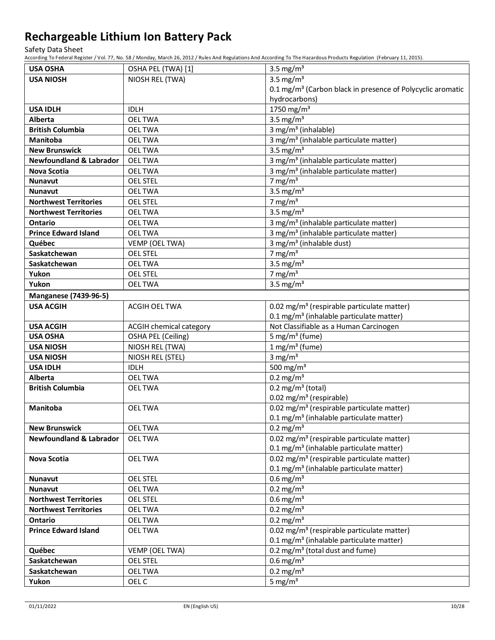Safety Data Sheet

| <b>USA OSHA</b>                    | OSHA PEL (TWA) [1]      | 3.5 mg/ $m3$                                                           |
|------------------------------------|-------------------------|------------------------------------------------------------------------|
| <b>USA NIOSH</b>                   | NIOSH REL (TWA)         | 3.5 mg/ $m3$                                                           |
|                                    |                         | 0.1 mg/m <sup>3</sup> (Carbon black in presence of Polycyclic aromatic |
|                                    |                         | hydrocarbons)                                                          |
| <b>USA IDLH</b>                    | <b>IDLH</b>             | 1750 mg/m $3$                                                          |
| Alberta                            | <b>OELTWA</b>           | 3.5 mg/ $m3$                                                           |
| <b>British Columbia</b>            | <b>OELTWA</b>           | 3 mg/m <sup>3</sup> (inhalable)                                        |
| <b>Manitoba</b>                    | <b>OELTWA</b>           | 3 mg/m <sup>3</sup> (inhalable particulate matter)                     |
| <b>New Brunswick</b>               | <b>OELTWA</b>           | 3.5 mg/ $m3$                                                           |
| <b>Newfoundland &amp; Labrador</b> | <b>OELTWA</b>           | 3 mg/m <sup>3</sup> (inhalable particulate matter)                     |
| <b>Nova Scotia</b>                 | <b>OELTWA</b>           | 3 mg/m <sup>3</sup> (inhalable particulate matter)                     |
| <b>Nunavut</b>                     | <b>OEL STEL</b>         | 7 mg/m $3$                                                             |
| <b>Nunavut</b>                     | <b>OELTWA</b>           | 3.5 mg/ $m3$                                                           |
| <b>Northwest Territories</b>       | <b>OEL STEL</b>         | 7 mg/m $3$                                                             |
| <b>Northwest Territories</b>       | <b>OELTWA</b>           | 3.5 mg/ $m3$                                                           |
| <b>Ontario</b>                     | <b>OELTWA</b>           | 3 mg/m <sup>3</sup> (inhalable particulate matter)                     |
| <b>Prince Edward Island</b>        | <b>OELTWA</b>           | 3 mg/m <sup>3</sup> (inhalable particulate matter)                     |
| Québec                             | VEMP (OEL TWA)          | 3 mg/m <sup>3</sup> (inhalable dust)                                   |
| Saskatchewan                       | <b>OEL STEL</b>         | 7 mg/m $3$                                                             |
| Saskatchewan                       | <b>OEL TWA</b>          | 3.5 mg/ $m3$                                                           |
| Yukon                              | <b>OEL STEL</b>         | 7 mg/m $3$                                                             |
| Yukon                              | <b>OEL TWA</b>          | 3.5 mg/ $m3$                                                           |
| <b>Manganese (7439-96-5)</b>       |                         |                                                                        |
| <b>USA ACGIH</b>                   | <b>ACGIH OEL TWA</b>    | 0.02 mg/m <sup>3</sup> (respirable particulate matter)                 |
|                                    |                         | 0.1 mg/m <sup>3</sup> (inhalable particulate matter)                   |
| <b>USA ACGIH</b>                   | ACGIH chemical category | Not Classifiable as a Human Carcinogen                                 |
| <b>USA OSHA</b>                    | OSHA PEL (Ceiling)      | 5 mg/m <sup>3</sup> (fume)                                             |
| <b>USA NIOSH</b>                   | NIOSH REL (TWA)         | $1 mg/m3$ (fume)                                                       |
| <b>USA NIOSH</b>                   | NIOSH REL (STEL)        | 3 mg/ $m3$                                                             |
| <b>USA IDLH</b>                    | <b>IDLH</b>             | 500 mg/m $3$                                                           |
| Alberta                            | <b>OELTWA</b>           | $0.2 \text{ mg/m}^3$                                                   |
| <b>British Columbia</b>            | <b>OELTWA</b>           | 0.2 mg/m <sup>3</sup> (total)                                          |
|                                    |                         | 0.02 mg/m <sup>3</sup> (respirable)                                    |
| Manitoba                           | <b>OELTWA</b>           | 0.02 mg/m <sup>3</sup> (respirable particulate matter)                 |
|                                    |                         | 0.1 mg/m <sup>3</sup> (inhalable particulate matter)                   |
| <b>New Brunswick</b>               | <b>OELTWA</b>           | $0.2 \text{ mg/m}^3$                                                   |
| <b>Newfoundland &amp; Labrador</b> | <b>OELTWA</b>           | 0.02 mg/m <sup>3</sup> (respirable particulate matter)                 |
|                                    |                         | 0.1 mg/m <sup>3</sup> (inhalable particulate matter)                   |
| <b>Nova Scotia</b>                 | <b>OELTWA</b>           | 0.02 mg/m <sup>3</sup> (respirable particulate matter)                 |
|                                    |                         | 0.1 mg/m <sup>3</sup> (inhalable particulate matter)                   |
| <b>Nunavut</b>                     | <b>OEL STEL</b>         | $0.6$ mg/m <sup>3</sup>                                                |
| <b>Nunavut</b>                     | <b>OELTWA</b>           | $0.2$ mg/m <sup>3</sup>                                                |
| <b>Northwest Territories</b>       | <b>OEL STEL</b>         | $0.6$ mg/m <sup>3</sup>                                                |
| <b>Northwest Territories</b>       | <b>OELTWA</b>           | $0.2$ mg/m <sup>3</sup>                                                |
| <b>Ontario</b>                     | <b>OELTWA</b>           | $0.2 \text{ mg/m}^3$                                                   |
| <b>Prince Edward Island</b>        | <b>OELTWA</b>           | 0.02 mg/m <sup>3</sup> (respirable particulate matter)                 |
|                                    |                         | 0.1 mg/m <sup>3</sup> (inhalable particulate matter)                   |
| Québec                             | VEMP (OEL TWA)          | 0.2 mg/m <sup>3</sup> (total dust and fume)                            |
| Saskatchewan                       | <b>OEL STEL</b>         | $0.6$ mg/m <sup>3</sup>                                                |
| Saskatchewan                       | <b>OELTWA</b>           | $0.2 \text{ mg/m}^3$                                                   |
| Yukon                              | OEL C                   | 5 mg/ $m3$                                                             |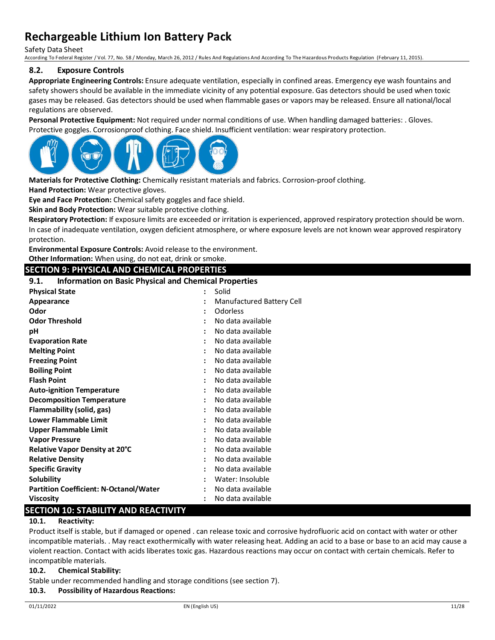Safety Data Sheet

According To Federal Register / Vol. 77, No. 58 / Monday, March 26, 2012 / Rules And Regulations And According To The Hazardous Products Regulation (February 11, 2015).

### **8.2. Exposure Controls**

**Appropriate Engineering Controls:** Ensure adequate ventilation, especially in confined areas. Emergency eye wash fountains and safety showers should be available in the immediate vicinity of any potential exposure. Gas detectors should be used when toxic gases may be released. Gas detectors should be used when flammable gases or vapors may be released. Ensure all national/local regulations are observed.

**Personal Protective Equipment:** Not required under normal conditions of use. When handling damaged batteries: . Gloves. Protective goggles. Corrosionproof clothing. Face shield. Insufficient ventilation: wear respiratory protection.



**Materials for Protective Clothing:** Chemically resistant materials and fabrics. Corrosion-proof clothing.

**Hand Protection:** Wear protective gloves.

**Eye and Face Protection:** Chemical safety goggles and face shield.

**Skin and Body Protection:** Wear suitable protective clothing.

**Respiratory Protection:** If exposure limits are exceeded or irritation is experienced, approved respiratory protection should be worn. In case of inadequate ventilation, oxygen deficient atmosphere, or where exposure levels are not known wear approved respiratory protection.

**Environmental Exposure Controls:** Avoid release to the environment.

**Other Information:** When using, do not eat, drink or smoke.

### **SECTION 9: PHYSICAL AND CHEMICAL PROPERTIES**

### **9.1. Information on Basic Physical and Chemical Properties**

| <b>Physical State</b>                         | $\ddot{\cdot}$       | Solid                     |
|-----------------------------------------------|----------------------|---------------------------|
| Appearance                                    | $\ddot{\phantom{a}}$ | Manufactured Battery Cell |
| Odor                                          | :                    | Odorless                  |
| <b>Odor Threshold</b>                         |                      | No data available         |
| рH                                            |                      | No data available         |
| <b>Evaporation Rate</b>                       | $\ddot{\phantom{a}}$ | No data available         |
| <b>Melting Point</b>                          |                      | No data available         |
| <b>Freezing Point</b>                         |                      | No data available         |
| <b>Boiling Point</b>                          | $\ddot{\phantom{a}}$ | No data available         |
| <b>Flash Point</b>                            |                      | No data available         |
| <b>Auto-ignition Temperature</b>              |                      | No data available         |
| <b>Decomposition Temperature</b>              | $\ddot{\phantom{a}}$ | No data available         |
| Flammability (solid, gas)                     | $\ddot{\phantom{0}}$ | No data available         |
| <b>Lower Flammable Limit</b>                  |                      | No data available         |
| Upper Flammable Limit                         | $\ddot{\phantom{a}}$ | No data available         |
| <b>Vapor Pressure</b>                         | $\ddot{\phantom{a}}$ | No data available         |
| Relative Vapor Density at 20°C                |                      | No data available         |
| <b>Relative Density</b>                       | $\ddot{\phantom{a}}$ | No data available         |
| <b>Specific Gravity</b>                       | $\ddot{\phantom{0}}$ | No data available         |
| Solubility                                    |                      | Water: Insoluble          |
| <b>Partition Coefficient: N-Octanol/Water</b> |                      | No data available         |
| <b>Viscosity</b>                              |                      | No data available         |

## **SECTION 10: STABILITY AND REACTIVITY**

### **10.1. Reactivity:**

Product itself is stable, but if damaged or opened . can release toxic and corrosive hydrofluoric acid on contact with water or other incompatible materials. . May react exothermically with water releasing heat. Adding an acid to a base or base to an acid may cause a violent reaction. Contact with acids liberates toxic gas. Hazardous reactions may occur on contact with certain chemicals. Refer to incompatible materials.

#### **10.2. Chemical Stability:**

Stable under recommended handling and storage conditions (see section 7).

#### **10.3. Possibility of Hazardous Reactions:**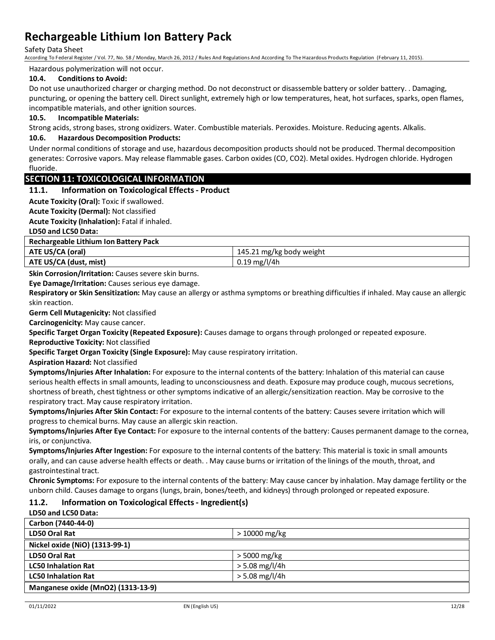Safety Data Sheet

According To Federal Register / Vol. 77, No. 58 / Monday, March 26, 2012 / Rules And Regulations And According To The Hazardous Products Regulation (February 11, 2015).

#### Hazardous polymerization will not occur.

### **10.4. Conditions to Avoid:**

Do not use unauthorized charger or charging method. Do not deconstruct or disassemble battery or solder battery. . Damaging, puncturing, or opening the battery cell. Direct sunlight, extremely high or low temperatures, heat, hot surfaces, sparks, open flames, incompatible materials, and other ignition sources.

#### **10.5. Incompatible Materials:**

Strong acids, strong bases, strong oxidizers. Water. Combustible materials. Peroxides. Moisture. Reducing agents. Alkalis.

### **10.6. Hazardous Decomposition Products:**

Under normal conditions of storage and use, hazardous decomposition products should not be produced. Thermal decomposition generates: Corrosive vapors. May release flammable gases. Carbon oxides (CO, CO2). Metal oxides. Hydrogen chloride. Hydrogen fluoride.

### **SECTION 11: TOXICOLOGICAL INFORMATION**

#### **11.1. Information on Toxicological Effects - Product**

**Acute Toxicity (Oral):** Toxic if swallowed.

**Acute Toxicity (Dermal):** Not classified

**Acute Toxicity (Inhalation):** Fatal if inhaled.

**LD50 and LC50 Data:**

| Rechargeable Lithium Ion Battery Pack |                           |  |
|---------------------------------------|---------------------------|--|
| ATE US/CA (oral)                      | 145.21 mg/kg body weight  |  |
| ATE US/CA (dust, mist)                | $0.19 \,\mathrm{mg/l}/4h$ |  |

**Skin Corrosion/Irritation:** Causes severe skin burns.

**Eye Damage/Irritation:** Causes serious eye damage.

**Respiratory or Skin Sensitization:** May cause an allergy or asthma symptoms or breathing difficulties if inhaled. May cause an allergic skin reaction.

**Germ Cell Mutagenicity:** Not classified

**Carcinogenicity:** May cause cancer.

**Specific Target Organ Toxicity (Repeated Exposure):** Causes damage to organs through prolonged or repeated exposure. **Reproductive Toxicity:** Not classified

**Specific Target Organ Toxicity (Single Exposure):** May cause respiratory irritation.

**Aspiration Hazard:** Not classified

**Symptoms/Injuries After Inhalation:** For exposure to the internal contents of the battery: Inhalation of this material can cause serious health effects in small amounts, leading to unconsciousness and death. Exposure may produce cough, mucous secretions, shortness of breath, chest tightness or other symptoms indicative of an allergic/sensitization reaction. May be corrosive to the respiratory tract. May cause respiratory irritation.

**Symptoms/Injuries After Skin Contact:** For exposure to the internal contents of the battery: Causes severe irritation which will progress to chemical burns. May cause an allergic skin reaction.

**Symptoms/Injuries After Eye Contact:** For exposure to the internal contents of the battery: Causes permanent damage to the cornea, iris, or conjunctiva.

**Symptoms/Injuries After Ingestion:** For exposure to the internal contents of the battery: This material is toxic in small amounts orally, and can cause adverse health effects or death. . May cause burns or irritation of the linings of the mouth, throat, and gastrointestinal tract.

**Chronic Symptoms:** For exposure to the internal contents of the battery: May cause cancer by inhalation. May damage fertility or the unborn child. Causes damage to organs (lungs, brain, bones/teeth, and kidneys) through prolonged or repeated exposure.

## **11.2. Information on Toxicological Effects - Ingredient(s)**

#### **LD50 and LC50 Data:**

| Carbon (7440-44-0)                             |                  |  |
|------------------------------------------------|------------------|--|
| LD50 Oral Rat                                  | > 10000 mg/kg    |  |
| Nickel oxide (NiO) (1313-99-1)                 |                  |  |
| LD50 Oral Rat                                  | > 5000 mg/kg     |  |
| <b>LC50 Inhalation Rat</b>                     | $>$ 5.08 mg/l/4h |  |
| $>$ 5.08 mg/l/4h<br><b>LC50 Inhalation Rat</b> |                  |  |
| Manganese oxide (MnO2) (1313-13-9)             |                  |  |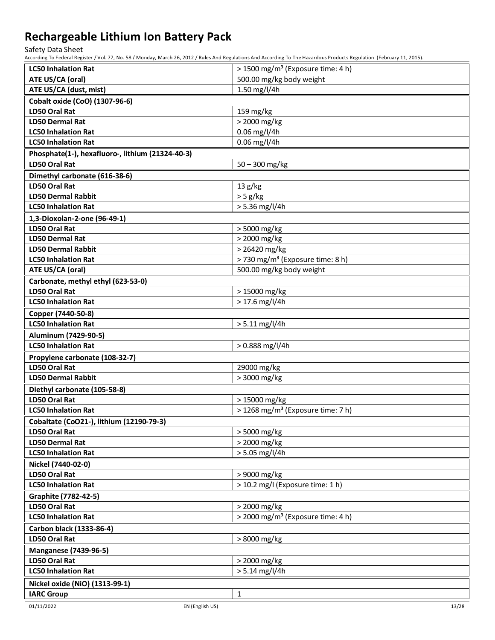Safety Data Sheet

| <b>LC50 Inhalation Rat</b>                       | > 1500 mg/m <sup>3</sup> (Exposure time: 4 h) |  |
|--------------------------------------------------|-----------------------------------------------|--|
| ATE US/CA (oral)                                 | 500.00 mg/kg body weight                      |  |
| ATE US/CA (dust, mist)                           | 1.50 mg/l/4h                                  |  |
| Cobalt oxide (CoO) (1307-96-6)                   |                                               |  |
| LD50 Oral Rat                                    | 159 mg/kg                                     |  |
| <b>LD50 Dermal Rat</b>                           | > 2000 mg/kg                                  |  |
| <b>LC50 Inhalation Rat</b>                       | $0.06$ mg/l/4h                                |  |
| <b>LC50 Inhalation Rat</b>                       | 0.06 mg/l/4h                                  |  |
| Phosphate(1-), hexafluoro-, lithium (21324-40-3) |                                               |  |
| <b>LD50 Oral Rat</b>                             | $50 - 300$ mg/kg                              |  |
| Dimethyl carbonate (616-38-6)                    |                                               |  |
| <b>LD50 Oral Rat</b>                             | 13 g/kg                                       |  |
| <b>LD50 Dermal Rabbit</b>                        | > 5 g/kg                                      |  |
| <b>LC50 Inhalation Rat</b>                       | > 5.36 mg/l/4h                                |  |
| 1,3-Dioxolan-2-one (96-49-1)                     |                                               |  |
| <b>LD50 Oral Rat</b>                             | > 5000 mg/kg                                  |  |
| <b>LD50 Dermal Rat</b>                           | > 2000 mg/kg                                  |  |
| <b>LD50 Dermal Rabbit</b>                        | > 26420 mg/kg                                 |  |
| <b>LC50 Inhalation Rat</b>                       | > 730 mg/m <sup>3</sup> (Exposure time: 8 h)  |  |
| ATE US/CA (oral)                                 | 500.00 mg/kg body weight                      |  |
| Carbonate, methyl ethyl (623-53-0)               |                                               |  |
| LD50 Oral Rat                                    | > 15000 mg/kg                                 |  |
| <b>LC50 Inhalation Rat</b>                       | $> 17.6$ mg/l/4h                              |  |
| Copper (7440-50-8)                               |                                               |  |
| <b>LC50 Inhalation Rat</b>                       | $> 5.11$ mg/l/4h                              |  |
| Aluminum (7429-90-5)                             |                                               |  |
| <b>LC50 Inhalation Rat</b>                       | > 0.888 mg/l/4h                               |  |
| Propylene carbonate (108-32-7)                   |                                               |  |
| <b>LD50 Oral Rat</b>                             | 29000 mg/kg                                   |  |
| <b>LD50 Dermal Rabbit</b>                        | > 3000 mg/kg                                  |  |
| Diethyl carbonate (105-58-8)                     |                                               |  |
| LD50 Oral Rat                                    | > 15000 mg/kg                                 |  |
| <b>LC50 Inhalation Rat</b>                       | > 1268 mg/m <sup>3</sup> (Exposure time: 7 h) |  |
| Cobaltate (CoO21-), lithium (12190-79-3)         |                                               |  |
| LD50 Oral Rat                                    | > 5000 mg/kg                                  |  |
| <b>LD50 Dermal Rat</b>                           | > 2000 mg/kg                                  |  |
| <b>LC50 Inhalation Rat</b>                       | $> 5.05$ mg/l/4h                              |  |
| Nickel (7440-02-0)                               |                                               |  |
| LD50 Oral Rat                                    | > 9000 mg/kg                                  |  |
| <b>LC50 Inhalation Rat</b>                       | > 10.2 mg/l (Exposure time: 1 h)              |  |
| <b>Graphite (7782-42-5)</b>                      |                                               |  |
| LD50 Oral Rat                                    | > 2000 mg/kg                                  |  |
| <b>LC50 Inhalation Rat</b>                       | > 2000 mg/m <sup>3</sup> (Exposure time: 4 h) |  |
| Carbon black (1333-86-4)                         |                                               |  |
| LD50 Oral Rat                                    | > 8000 mg/kg                                  |  |
| <b>Manganese (7439-96-5)</b>                     |                                               |  |
| LD50 Oral Rat                                    | > 2000 mg/kg                                  |  |
| <b>LC50 Inhalation Rat</b>                       | $> 5.14$ mg/l/4h                              |  |
| Nickel oxide (NiO) (1313-99-1)                   |                                               |  |
| <b>IARC Group</b>                                | $\mathbf{1}$                                  |  |
|                                                  |                                               |  |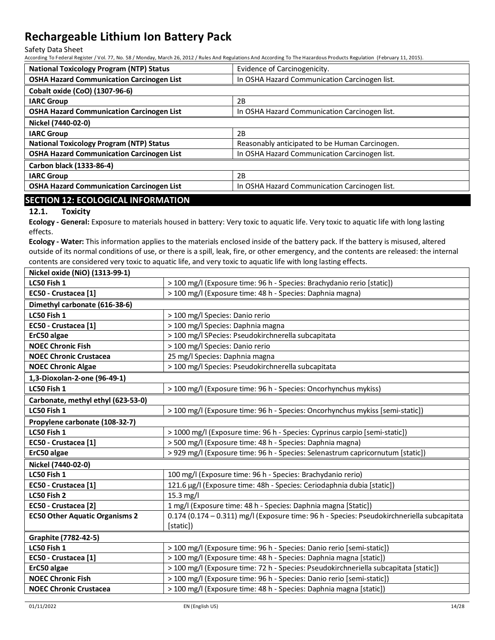Safety Data Sheet

According To Federal Register / Vol. 77, No. 58 / Monday, March 26, 2012 / Rules And Regulations And According To The Hazardous Products Regulation (February 11, 2015).

| <b>National Toxicology Program (NTP) Status</b>  | Evidence of Carcinogenicity.                   |
|--------------------------------------------------|------------------------------------------------|
| <b>OSHA Hazard Communication Carcinogen List</b> | In OSHA Hazard Communication Carcinogen list.  |
| Cobalt oxide (CoO) (1307-96-6)                   |                                                |
| <b>IARC Group</b>                                | 2B                                             |
| <b>OSHA Hazard Communication Carcinogen List</b> | In OSHA Hazard Communication Carcinogen list.  |
| Nickel (7440-02-0)                               |                                                |
| <b>IARC Group</b>                                | 2B                                             |
| <b>National Toxicology Program (NTP) Status</b>  | Reasonably anticipated to be Human Carcinogen. |
| <b>OSHA Hazard Communication Carcinogen List</b> | In OSHA Hazard Communication Carcinogen list.  |
| Carbon black (1333-86-4)                         |                                                |
| <b>IARC Group</b>                                | 2B                                             |
| <b>OSHA Hazard Communication Carcinogen List</b> | In OSHA Hazard Communication Carcinogen list.  |
|                                                  |                                                |

## **SECTION 12: ECOLOGICAL INFORMATION**

## **12.1. Toxicity**

**Ecology - General:** Exposure to materials housed in battery: Very toxic to aquatic life. Very toxic to aquatic life with long lasting effects.

**Ecology - Water:** This information applies to the materials enclosed inside of the battery pack. If the battery is misused, altered outside of its normal conditions of use, or there is a spill, leak, fire, or other emergency, and the contents are released: the internal contents are considered very toxic to aquatic life, and very toxic to aquatic life with long lasting effects. **Nickel oxide (NiO) (1313-99-1)**

| Nickel oxide (NiO) (1313-99-1)        |                                                                                                         |
|---------------------------------------|---------------------------------------------------------------------------------------------------------|
| LC50 Fish 1                           | > 100 mg/l (Exposure time: 96 h - Species: Brachydanio rerio [static])                                  |
| EC50 - Crustacea [1]                  | > 100 mg/l (Exposure time: 48 h - Species: Daphnia magna)                                               |
| Dimethyl carbonate (616-38-6)         |                                                                                                         |
| LC50 Fish 1                           | > 100 mg/l Species: Danio rerio                                                                         |
| EC50 - Crustacea [1]                  | > 100 mg/l Species: Daphnia magna                                                                       |
| ErC50 algae                           | > 100 mg/l SPecies: Pseudokirchnerella subcapitata                                                      |
| <b>NOEC Chronic Fish</b>              | > 100 mg/l Species: Danio rerio                                                                         |
| <b>NOEC Chronic Crustacea</b>         | 25 mg/l Species: Daphnia magna                                                                          |
| <b>NOEC Chronic Algae</b>             | > 100 mg/l Species: Pseudokirchnerella subcapitata                                                      |
| 1,3-Dioxolan-2-one (96-49-1)          |                                                                                                         |
| LC50 Fish 1                           | > 100 mg/l (Exposure time: 96 h - Species: Oncorhynchus mykiss)                                         |
| Carbonate, methyl ethyl (623-53-0)    |                                                                                                         |
| LC50 Fish 1                           | > 100 mg/l (Exposure time: 96 h - Species: Oncorhynchus mykiss [semi-static])                           |
| Propylene carbonate (108-32-7)        |                                                                                                         |
| LC50 Fish 1                           | > 1000 mg/l (Exposure time: 96 h - Species: Cyprinus carpio [semi-static])                              |
| EC50 - Crustacea [1]                  | > 500 mg/l (Exposure time: 48 h - Species: Daphnia magna)                                               |
| ErC50 algae                           | > 929 mg/l (Exposure time: 96 h - Species: Selenastrum capricornutum [static])                          |
| Nickel (7440-02-0)                    |                                                                                                         |
| LC50 Fish 1                           | 100 mg/l (Exposure time: 96 h - Species: Brachydanio rerio)                                             |
| EC50 - Crustacea [1]                  | 121.6 μg/l (Exposure time: 48h - Species: Ceriodaphnia dubia [static])                                  |
| LC50 Fish 2                           | $15.3$ mg/l                                                                                             |
| EC50 - Crustacea [2]                  | 1 mg/l (Exposure time: 48 h - Species: Daphnia magna [Static])                                          |
| <b>EC50 Other Aquatic Organisms 2</b> | 0.174 (0.174 - 0.311) mg/l (Exposure time: 96 h - Species: Pseudokirchneriella subcapitata<br>[static]) |
| <b>Graphite (7782-42-5)</b>           |                                                                                                         |
| LC50 Fish 1                           | > 100 mg/l (Exposure time: 96 h - Species: Danio rerio [semi-static])                                   |
| EC50 - Crustacea [1]                  | > 100 mg/l (Exposure time: 48 h - Species: Daphnia magna [static])                                      |
| ErC50 algae                           | > 100 mg/l (Exposure time: 72 h - Species: Pseudokirchneriella subcapitata [static])                    |
| <b>NOEC Chronic Fish</b>              | > 100 mg/l (Exposure time: 96 h - Species: Danio rerio [semi-static])                                   |
| <b>NOEC Chronic Crustacea</b>         | > 100 mg/l (Exposure time: 48 h - Species: Daphnia magna [static])                                      |
|                                       |                                                                                                         |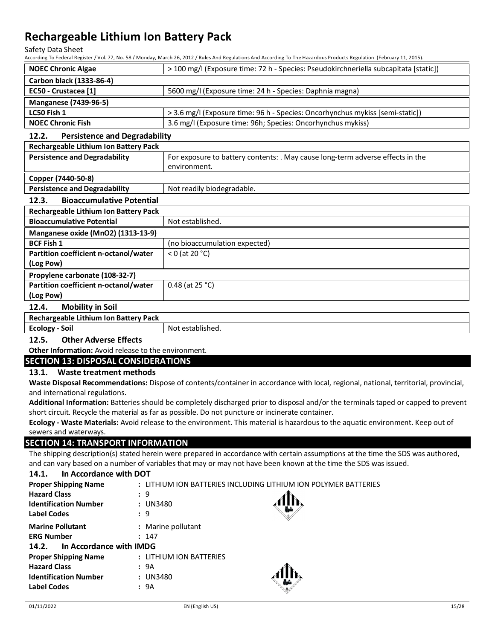Safety Data Sheet

According To Federal Register / Vol. 77, No. 58 / Monday, March 26, 2012 / Rules And Regulations And According To The Hazardous Products Regulation (February 11, 2015).

| <b>NOEC Chronic Algae</b>    | > 100 mg/l (Exposure time: 72 h - Species: Pseudokirchneriella subcapitata [static]) |
|------------------------------|--------------------------------------------------------------------------------------|
| Carbon black (1333-86-4)     |                                                                                      |
| EC50 - Crustacea [1]         | 5600 mg/l (Exposure time: 24 h - Species: Daphnia magna)                             |
| <b>Manganese (7439-96-5)</b> |                                                                                      |
| LC50 Fish 1                  | > 3.6 mg/l (Exposure time: 96 h - Species: Oncorhynchus mykiss [semi-static])        |
| <b>NOEC Chronic Fish</b>     | 3.6 mg/l (Exposure time: 96h; Species: Oncorhynchus mykiss)                          |

## **12.2. Persistence and Degradability**

| Rechargeable Lithium Ion Battery Pack        |                                                                                |  |
|----------------------------------------------|--------------------------------------------------------------------------------|--|
| <b>Persistence and Degradability</b>         | For exposure to battery contents: . May cause long-term adverse effects in the |  |
|                                              | environment.                                                                   |  |
| Copper (7440-50-8)                           |                                                                                |  |
| <b>Persistence and Degradability</b>         | Not readily biodegradable.                                                     |  |
| <b>Bioaccumulative Potential</b><br>12.3.    |                                                                                |  |
| <b>Rechargeable Lithium Ion Battery Pack</b> |                                                                                |  |
| <b>Bioaccumulative Potential</b>             | Not established.                                                               |  |
| Manganese oxide (MnO2) (1313-13-9)           |                                                                                |  |
| <b>BCF Fish 1</b>                            | (no bioaccumulation expected)                                                  |  |
| Partition coefficient n-octanol/water        | $<$ 0 (at 20 $^{\circ}$ C)                                                     |  |
| (Log Pow)                                    |                                                                                |  |
| Propylene carbonate (108-32-7)               |                                                                                |  |
| Partition coefficient n-octanol/water        | 0.48 (at $25 °C$ )                                                             |  |
| (Log Pow)                                    |                                                                                |  |
| <b>Mobility in Soil</b><br>12.4.             |                                                                                |  |

### **Rechargeable Lithium Ion Battery Pack**

**Ecology - Soil** Not established.

## **12.5. Other Adverse Effects**

**Other Information:** Avoid release to the environment.

## **SECTION 13: DISPOSAL CONSIDERATIONS**

### **13.1. Waste treatment methods**

**Waste Disposal Recommendations:** Dispose of contents/container in accordance with local, regional, national, territorial, provincial, and international regulations.

**Additional Information:** Batteries should be completely discharged prior to disposal and/or the terminals taped or capped to prevent short circuit. Recycle the material as far as possible. Do not puncture or incinerate container.

**Ecology - Waste Materials:** Avoid release to the environment. This material is hazardous to the aquatic environment. Keep out of sewers and waterways.

## **SECTION 14: TRANSPORT INFORMATION**

The shipping description(s) stated herein were prepared in accordance with certain assumptions at the time the SDS was authored, and can vary based on a number of variables that may or may not have been known at the time the SDS was issued.

### **14.1. In Accordance with DOT**

| <b>Proper Shipping Name</b>      | : LITHIUM ION BATTERIES INCLUDING LITHIUM ION POLYMER BATTERIES |  |  |
|----------------------------------|-----------------------------------------------------------------|--|--|
| <b>Hazard Class</b>              | : 9                                                             |  |  |
| <b>Identification Number</b>     | : UN3480                                                        |  |  |
| <b>Label Codes</b>               | : 9                                                             |  |  |
| <b>Marine Pollutant</b>          | : Marine pollutant                                              |  |  |
| <b>ERG Number</b>                | : 147                                                           |  |  |
| In Accordance with IMDG<br>14.2. |                                                                 |  |  |
| <b>Proper Shipping Name</b>      | : LITHIUM ION BATTERIES                                         |  |  |
| <b>Hazard Class</b>              | : 9A                                                            |  |  |
| <b>Identification Number</b>     | : UN3480                                                        |  |  |
| <b>Label Codes</b>               | : 9A                                                            |  |  |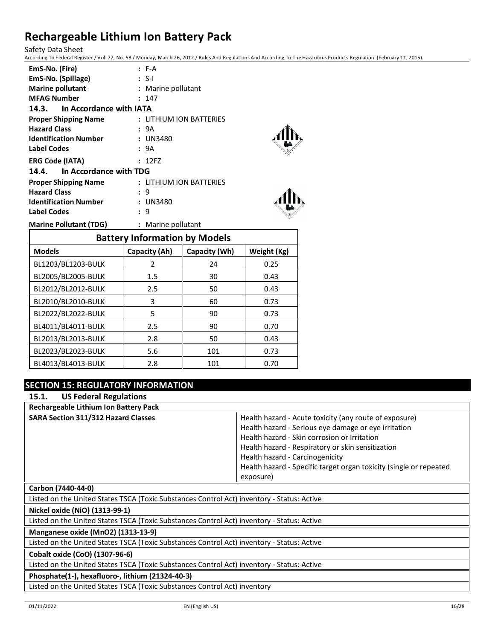Safety Data Sheet

According To Federal Register / Vol. 77, No. 58 / Monday, March 26, 2012 / Rules And Regulations And According To The Hazardous Products Regulation (February 11, 2015).

| EmS-No. (Fire)                | $F-A$                   |
|-------------------------------|-------------------------|
| EmS-No. (Spillage)            | : S-I                   |
| <b>Marine pollutant</b>       | : Marine pollutant      |
| <b>MFAG Number</b>            | : 147                   |
| 14.3. In Accordance with IATA |                         |
| <b>Proper Shipping Name</b>   | : LITHIUM ION BATTERIES |
| <b>Hazard Class</b>           | : 9A                    |
| <b>Identification Number</b>  | : UN3480                |
| Label Codes                   | : 9A                    |
| <b>ERG Code (IATA)</b>        | : 12FZ                  |
| 14.4. In Accordance with TDG  |                         |
| <b>Proper Shipping Name</b>   | : LITHIUM ION BATTERIES |
| <b>Hazard Class</b>           | : 9                     |
| <b>Identification Number</b>  | : UN3480                |
| <b>Label Codes</b>            | : 9                     |
| <b>Marine Pollutant (TDG)</b> | : Marine pollutant      |

| <b>Battery Information by Models</b> |               |               |             |  |
|--------------------------------------|---------------|---------------|-------------|--|
| <b>Models</b>                        | Capacity (Ah) | Capacity (Wh) | Weight (Kg) |  |
| BL1203/BL1203-BULK                   | $\mathcal{P}$ | 24            | 0.25        |  |
| BL2005/BL2005-BULK                   | $1.5\,$       | 30            | 0.43        |  |
| BL2012/BL2012-BULK                   | 2.5           | 50            | 0.43        |  |
| BL2010/BL2010-BULK                   | 3             | 60            | 0.73        |  |
| BL2022/BL2022-BULK                   | 5             | 90            | 0.73        |  |
| BL4011/BL4011-BULK                   | 2.5           | 90            | 0.70        |  |
| BL2013/BL2013-BULK                   | 2.8           | 50            | 0.43        |  |
| BL2023/BL2023-BULK                   | 5.6           | 101           | 0.73        |  |
| BL4013/BL4013-BULK                   | 2.8           | 101           | 0.70        |  |

## **SECTION 15: REGULATORY INFORMATION**

| <b>US Federal Regulations</b><br>15.1.                                                                                                                                                                                                |                                                                    |  |
|---------------------------------------------------------------------------------------------------------------------------------------------------------------------------------------------------------------------------------------|--------------------------------------------------------------------|--|
| <b>Rechargeable Lithium Ion Battery Pack</b>                                                                                                                                                                                          |                                                                    |  |
| <b>SARA Section 311/312 Hazard Classes</b>                                                                                                                                                                                            | Health hazard - Acute toxicity (any route of exposure)             |  |
|                                                                                                                                                                                                                                       | Health hazard - Serious eye damage or eye irritation               |  |
|                                                                                                                                                                                                                                       | Health hazard - Skin corrosion or Irritation                       |  |
|                                                                                                                                                                                                                                       | Health hazard - Respiratory or skin sensitization                  |  |
|                                                                                                                                                                                                                                       | Health hazard - Carcinogenicity                                    |  |
|                                                                                                                                                                                                                                       | Health hazard - Specific target organ toxicity (single or repeated |  |
|                                                                                                                                                                                                                                       | exposure)                                                          |  |
| Carbon (7440-44-0)                                                                                                                                                                                                                    |                                                                    |  |
| Listed on the United States TSCA (Toxic Substances Control Act) inventory - Status: Active                                                                                                                                            |                                                                    |  |
| Nickel oxide (NiO) (1313-99-1)                                                                                                                                                                                                        |                                                                    |  |
| Listed on the United States TSCA (Toxic Substances Control Act) inventory - Status: Active                                                                                                                                            |                                                                    |  |
| Manganese oxide (MnO2) (1313-13-9)                                                                                                                                                                                                    |                                                                    |  |
| Listed on the United States TSCA (Toxic Substances Control Act) inventory - Status: Active                                                                                                                                            |                                                                    |  |
| Cobalt oxide (CoO) (1307-96-6)                                                                                                                                                                                                        |                                                                    |  |
| Listed on the United States TSCA (Toxic Substances Control Act) inventory - Status: Active                                                                                                                                            |                                                                    |  |
| Phosphate(1-), hexafluoro-, lithium (21324-40-3)                                                                                                                                                                                      |                                                                    |  |
| $\mathbf{r}$ . The state $\mathbf{r}$ is the state of the state of the state of the state of the state of the state of the state of the state of the state of the state of the state of the state of the state of the state of the st |                                                                    |  |

Listed on the United States TSCA (Toxic Substances Control Act) inventory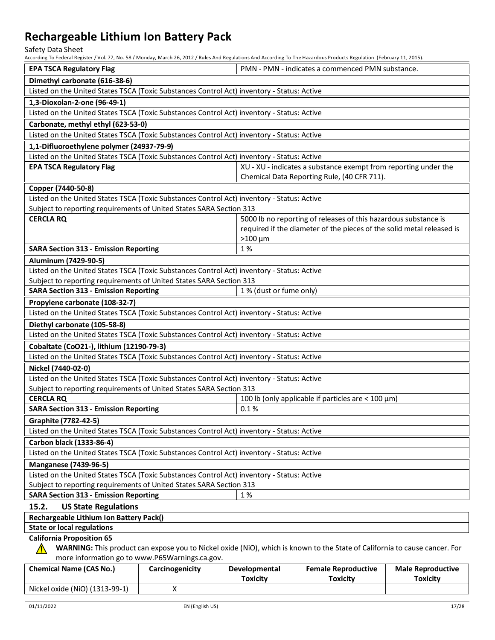Safety Data Sheet

According To Federal Register / Vol. 77, No. 58 / Monday, March 26, 2012 / Rules And Regulations And According To The Hazardous Products Regulation (February 11, 2015).

| HELDI UITE TALLUI III SE TUULUI UITE TUULUI KUULUI UITE TUULUI TUULUI KUULUI KUULUI KUULUI KUULUI KUULUI KUULUI KUULUI KA KUULUI KUULUI KUULUI KUULUI KUULUI KUULUI KUULUI KUULUI KUULUI KUULUI KUULUI KUULUI KUULUI KUULUI KU |                 |                         |                                                                       |                          |
|--------------------------------------------------------------------------------------------------------------------------------------------------------------------------------------------------------------------------------|-----------------|-------------------------|-----------------------------------------------------------------------|--------------------------|
| <b>EPA TSCA Regulatory Flag</b>                                                                                                                                                                                                |                 |                         | PMN - PMN - indicates a commenced PMN substance.                      |                          |
| Dimethyl carbonate (616-38-6)                                                                                                                                                                                                  |                 |                         |                                                                       |                          |
| Listed on the United States TSCA (Toxic Substances Control Act) inventory - Status: Active                                                                                                                                     |                 |                         |                                                                       |                          |
| 1,3-Dioxolan-2-one (96-49-1)                                                                                                                                                                                                   |                 |                         |                                                                       |                          |
| Listed on the United States TSCA (Toxic Substances Control Act) inventory - Status: Active                                                                                                                                     |                 |                         |                                                                       |                          |
| Carbonate, methyl ethyl (623-53-0)                                                                                                                                                                                             |                 |                         |                                                                       |                          |
| Listed on the United States TSCA (Toxic Substances Control Act) inventory - Status: Active                                                                                                                                     |                 |                         |                                                                       |                          |
| 1,1-Difluoroethylene polymer (24937-79-9)                                                                                                                                                                                      |                 |                         |                                                                       |                          |
| Listed on the United States TSCA (Toxic Substances Control Act) inventory - Status: Active                                                                                                                                     |                 |                         |                                                                       |                          |
| <b>EPA TSCA Regulatory Flag</b>                                                                                                                                                                                                |                 |                         | XU - XU - indicates a substance exempt from reporting under the       |                          |
|                                                                                                                                                                                                                                |                 |                         | Chemical Data Reporting Rule, (40 CFR 711).                           |                          |
| Copper (7440-50-8)                                                                                                                                                                                                             |                 |                         |                                                                       |                          |
| Listed on the United States TSCA (Toxic Substances Control Act) inventory - Status: Active                                                                                                                                     |                 |                         |                                                                       |                          |
| Subject to reporting requirements of United States SARA Section 313                                                                                                                                                            |                 |                         |                                                                       |                          |
| <b>CERCLA RQ</b>                                                                                                                                                                                                               |                 |                         | 5000 lb no reporting of releases of this hazardous substance is       |                          |
|                                                                                                                                                                                                                                |                 |                         | required if the diameter of the pieces of the solid metal released is |                          |
|                                                                                                                                                                                                                                |                 | $>100 \mu m$            |                                                                       |                          |
| <b>SARA Section 313 - Emission Reporting</b>                                                                                                                                                                                   |                 | 1%                      |                                                                       |                          |
| Aluminum (7429-90-5)                                                                                                                                                                                                           |                 |                         |                                                                       |                          |
| Listed on the United States TSCA (Toxic Substances Control Act) inventory - Status: Active                                                                                                                                     |                 |                         |                                                                       |                          |
| Subject to reporting requirements of United States SARA Section 313                                                                                                                                                            |                 |                         |                                                                       |                          |
| <b>SARA Section 313 - Emission Reporting</b>                                                                                                                                                                                   |                 | 1 % (dust or fume only) |                                                                       |                          |
| Propylene carbonate (108-32-7)                                                                                                                                                                                                 |                 |                         |                                                                       |                          |
| Listed on the United States TSCA (Toxic Substances Control Act) inventory - Status: Active                                                                                                                                     |                 |                         |                                                                       |                          |
| Diethyl carbonate (105-58-8)                                                                                                                                                                                                   |                 |                         |                                                                       |                          |
| Listed on the United States TSCA (Toxic Substances Control Act) inventory - Status: Active                                                                                                                                     |                 |                         |                                                                       |                          |
| Cobaltate (CoO21-), lithium (12190-79-3)                                                                                                                                                                                       |                 |                         |                                                                       |                          |
| Listed on the United States TSCA (Toxic Substances Control Act) inventory - Status: Active                                                                                                                                     |                 |                         |                                                                       |                          |
| Nickel (7440-02-0)                                                                                                                                                                                                             |                 |                         |                                                                       |                          |
| Listed on the United States TSCA (Toxic Substances Control Act) inventory - Status: Active                                                                                                                                     |                 |                         |                                                                       |                          |
| Subject to reporting requirements of United States SARA Section 313                                                                                                                                                            |                 |                         |                                                                       |                          |
| <b>CERCLA RQ</b><br>100 lb (only applicable if particles are $<$ 100 $\mu$ m)                                                                                                                                                  |                 |                         |                                                                       |                          |
| <b>SARA Section 313 - Emission Reporting</b>                                                                                                                                                                                   |                 | 0.1%                    |                                                                       |                          |
| Graphite (7782-42-5)                                                                                                                                                                                                           |                 |                         |                                                                       |                          |
| Listed on the United States TSCA (Toxic Substances Control Act) inventory - Status: Active                                                                                                                                     |                 |                         |                                                                       |                          |
| Carbon black (1333-86-4)                                                                                                                                                                                                       |                 |                         |                                                                       |                          |
| Listed on the United States TSCA (Toxic Substances Control Act) inventory - Status: Active                                                                                                                                     |                 |                         |                                                                       |                          |
| <b>Manganese (7439-96-5)</b>                                                                                                                                                                                                   |                 |                         |                                                                       |                          |
| Listed on the United States TSCA (Toxic Substances Control Act) inventory - Status: Active                                                                                                                                     |                 |                         |                                                                       |                          |
| Subject to reporting requirements of United States SARA Section 313                                                                                                                                                            |                 |                         |                                                                       |                          |
| <b>SARA Section 313 - Emission Reporting</b><br>1%                                                                                                                                                                             |                 |                         |                                                                       |                          |
| 15.2.<br><b>US State Regulations</b>                                                                                                                                                                                           |                 |                         |                                                                       |                          |
| Rechargeable Lithium Ion Battery Pack()                                                                                                                                                                                        |                 |                         |                                                                       |                          |
| <b>State or local regulations</b>                                                                                                                                                                                              |                 |                         |                                                                       |                          |
| <b>California Proposition 65</b>                                                                                                                                                                                               |                 |                         |                                                                       |                          |
| WARNING: This product can expose you to Nickel oxide (NiO), which is known to the State of California to cause cancer. For                                                                                                     |                 |                         |                                                                       |                          |
| more information go to www.P65Warnings.ca.gov.                                                                                                                                                                                 |                 |                         |                                                                       |                          |
| <b>Chemical Name (CAS No.)</b>                                                                                                                                                                                                 | Carcinogenicity | Developmental           | <b>Female Reproductive</b>                                            | <b>Male Reproductive</b> |
|                                                                                                                                                                                                                                |                 | <b>Toxicity</b>         | <b>Toxicity</b>                                                       | <b>Toxicity</b>          |

Nickel oxide (NiO) (1313-99-1) X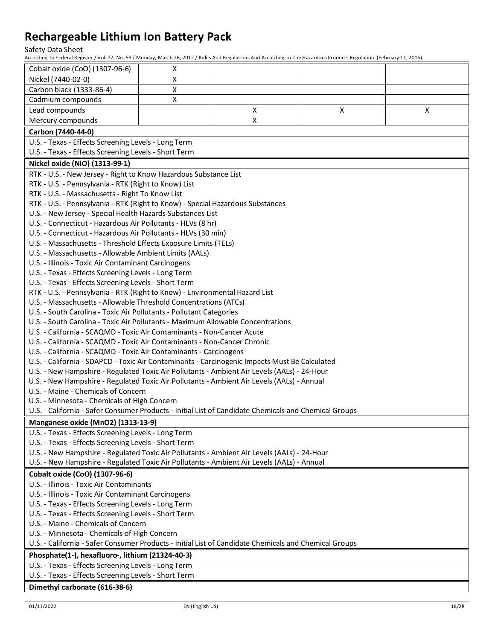Safety Data Sheet<br>According To Federal Register / Vol.

| According To Federal Register 7 VOI. 77, NO. 367 MONDay, March 20, 2012 7 Rules And Regulations And According TO The Hazardous Products Regulation (February 11, 2013)                                                                                        |   |   |   |   |
|---------------------------------------------------------------------------------------------------------------------------------------------------------------------------------------------------------------------------------------------------------------|---|---|---|---|
| Cobalt oxide (CoO) (1307-96-6)                                                                                                                                                                                                                                | X |   |   |   |
| Nickel (7440-02-0)                                                                                                                                                                                                                                            | X |   |   |   |
| Carbon black (1333-86-4)                                                                                                                                                                                                                                      | X |   |   |   |
| Cadmium compounds                                                                                                                                                                                                                                             | X |   |   |   |
| Lead compounds                                                                                                                                                                                                                                                |   | X | X | X |
| Mercury compounds                                                                                                                                                                                                                                             |   | X |   |   |
| Carbon (7440-44-0)                                                                                                                                                                                                                                            |   |   |   |   |
| U.S. - Texas - Effects Screening Levels - Long Term                                                                                                                                                                                                           |   |   |   |   |
| U.S. - Texas - Effects Screening Levels - Short Term                                                                                                                                                                                                          |   |   |   |   |
| Nickel oxide (NiO) (1313-99-1)                                                                                                                                                                                                                                |   |   |   |   |
| RTK - U.S. - New Jersey - Right to Know Hazardous Substance List<br>RTK - U.S. - Pennsylvania - RTK (Right to Know) List<br>RTK - U.S. - Massachusetts - Right To Know List<br>RTK - U.S. - Pennsylvania - RTK (Right to Know) - Special Hazardous Substances |   |   |   |   |
| U.S. - New Jersey - Special Health Hazards Substances List                                                                                                                                                                                                    |   |   |   |   |
| U.S. - Connecticut - Hazardous Air Pollutants - HLVs (8 hr)                                                                                                                                                                                                   |   |   |   |   |
| U.S. - Connecticut - Hazardous Air Pollutants - HLVs (30 min)                                                                                                                                                                                                 |   |   |   |   |
| U.S. - Massachusetts - Threshold Effects Exposure Limits (TELs)                                                                                                                                                                                               |   |   |   |   |
| U.S. - Massachusetts - Allowable Ambient Limits (AALs)                                                                                                                                                                                                        |   |   |   |   |
| U.S. - Illinois - Toxic Air Contaminant Carcinogens<br>U.S. - Texas - Effects Screening Levels - Long Term                                                                                                                                                    |   |   |   |   |
| U.S. - Texas - Effects Screening Levels - Short Term                                                                                                                                                                                                          |   |   |   |   |
| RTK - U.S. - Pennsylvania - RTK (Right to Know) - Environmental Hazard List                                                                                                                                                                                   |   |   |   |   |
| U.S. - Massachusetts - Allowable Threshold Concentrations (ATCs)                                                                                                                                                                                              |   |   |   |   |
| U.S. - South Carolina - Toxic Air Pollutants - Pollutant Categories                                                                                                                                                                                           |   |   |   |   |
| U.S. - South Carolina - Toxic Air Pollutants - Maximum Allowable Concentrations                                                                                                                                                                               |   |   |   |   |
| U.S. - California - SCAQMD - Toxic Air Contaminants - Non-Cancer Acute                                                                                                                                                                                        |   |   |   |   |
| U.S. - California - SCAQMD - Toxic Air Contaminants - Non-Cancer Chronic                                                                                                                                                                                      |   |   |   |   |
| U.S. - California - SCAQMD - Toxic Air Contaminants - Carcinogens                                                                                                                                                                                             |   |   |   |   |
| U.S. - California - SDAPCD - Toxic Air Contaminants - Carcinogenic Impacts Must Be Calculated                                                                                                                                                                 |   |   |   |   |
| U.S. - New Hampshire - Regulated Toxic Air Pollutants - Ambient Air Levels (AALs) - 24-Hour                                                                                                                                                                   |   |   |   |   |
| U.S. - New Hampshire - Regulated Toxic Air Pollutants - Ambient Air Levels (AALs) - Annual                                                                                                                                                                    |   |   |   |   |
| U.S. - Maine - Chemicals of Concern                                                                                                                                                                                                                           |   |   |   |   |
| U.S. - Minnesota - Chemicals of High Concern                                                                                                                                                                                                                  |   |   |   |   |
| U.S. - California - Safer Consumer Products - Initial List of Candidate Chemicals and Chemical Groups                                                                                                                                                         |   |   |   |   |
| Manganese oxide (MnO2) (1313-13-9)                                                                                                                                                                                                                            |   |   |   |   |
| U.S. - Texas - Effects Screening Levels - Long Term                                                                                                                                                                                                           |   |   |   |   |
| U.S. - Texas - Effects Screening Levels - Short Term                                                                                                                                                                                                          |   |   |   |   |
| U.S. - New Hampshire - Regulated Toxic Air Pollutants - Ambient Air Levels (AALs) - 24-Hour                                                                                                                                                                   |   |   |   |   |
| U.S. - New Hampshire - Regulated Toxic Air Pollutants - Ambient Air Levels (AALs) - Annual                                                                                                                                                                    |   |   |   |   |
| Cobalt oxide (CoO) (1307-96-6)                                                                                                                                                                                                                                |   |   |   |   |
| U.S. - Illinois - Toxic Air Contaminants                                                                                                                                                                                                                      |   |   |   |   |
| U.S. - Illinois - Toxic Air Contaminant Carcinogens                                                                                                                                                                                                           |   |   |   |   |
| U.S. - Texas - Effects Screening Levels - Long Term                                                                                                                                                                                                           |   |   |   |   |
| U.S. - Texas - Effects Screening Levels - Short Term<br>U.S. - Maine - Chemicals of Concern                                                                                                                                                                   |   |   |   |   |
| U.S. - Minnesota - Chemicals of High Concern                                                                                                                                                                                                                  |   |   |   |   |
| U.S. - California - Safer Consumer Products - Initial List of Candidate Chemicals and Chemical Groups                                                                                                                                                         |   |   |   |   |
| Phosphate(1-), hexafluoro-, lithium (21324-40-3)                                                                                                                                                                                                              |   |   |   |   |
| U.S. - Texas - Effects Screening Levels - Long Term                                                                                                                                                                                                           |   |   |   |   |
| U.S. - Texas - Effects Screening Levels - Short Term                                                                                                                                                                                                          |   |   |   |   |
|                                                                                                                                                                                                                                                               |   |   |   |   |
| Dimethyl carbonate (616-38-6)                                                                                                                                                                                                                                 |   |   |   |   |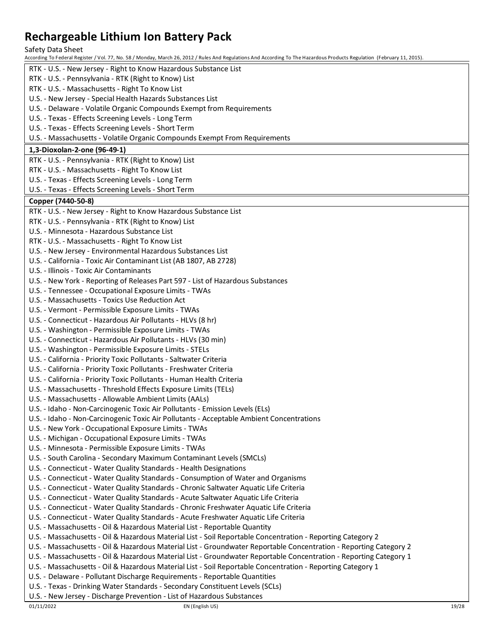Safety Data Sheet

According To Federal Register / Vol. 77, No. 58 / Monday, March 26, 2012 / Rules And Regulations And According To The Hazardous Products Regulation (February 11, 2015). RTK - U.S. - New Jersey - Right to Know Hazardous Substance List RTK - U.S. - Pennsylvania - RTK (Right to Know) List RTK - U.S. - Massachusetts - Right To Know List U.S. - New Jersey - Special Health Hazards Substances List U.S. - Delaware - Volatile Organic Compounds Exempt from Requirements U.S. - Texas - Effects Screening Levels - Long Term U.S. - Texas - Effects Screening Levels - Short Term U.S. - Massachusetts - Volatile Organic Compounds Exempt From Requirements **1,3-Dioxolan-2-one (96-49-1)** RTK - U.S. - Pennsylvania - RTK (Right to Know) List RTK - U.S. - Massachusetts - Right To Know List U.S. - Texas - Effects Screening Levels - Long Term U.S. - Texas - Effects Screening Levels - Short Term **Copper (7440-50-8)** RTK - U.S. - New Jersey - Right to Know Hazardous Substance List RTK - U.S. - Pennsylvania - RTK (Right to Know) List U.S. - Minnesota - Hazardous Substance List RTK - U.S. - Massachusetts - Right To Know List U.S. - New Jersey - Environmental Hazardous Substances List U.S. - California - Toxic Air Contaminant List (AB 1807, AB 2728) U.S. - Illinois - Toxic Air Contaminants U.S. - New York - Reporting of Releases Part 597 - List of Hazardous Substances U.S. - Tennessee - Occupational Exposure Limits - TWAs U.S. - Massachusetts - Toxics Use Reduction Act U.S. - Vermont - Permissible Exposure Limits - TWAs U.S. - Connecticut - Hazardous Air Pollutants - HLVs (8 hr) U.S. - Washington - Permissible Exposure Limits - TWAs U.S. - Connecticut - Hazardous Air Pollutants - HLVs (30 min) U.S. - Washington - Permissible Exposure Limits - STELs U.S. - California - Priority Toxic Pollutants - Saltwater Criteria U.S. - California - Priority Toxic Pollutants - Freshwater Criteria U.S. - California - Priority Toxic Pollutants - Human Health Criteria U.S. - Massachusetts - Threshold Effects Exposure Limits (TELs) U.S. - Massachusetts - Allowable Ambient Limits (AALs) U.S. - Idaho - Non-Carcinogenic Toxic Air Pollutants - Emission Levels (ELs) U.S. - Idaho - Non-Carcinogenic Toxic Air Pollutants - Acceptable Ambient Concentrations U.S. - New York - Occupational Exposure Limits - TWAs U.S. - Michigan - Occupational Exposure Limits - TWAs U.S. - Minnesota - Permissible Exposure Limits - TWAs U.S. - South Carolina - Secondary Maximum Contaminant Levels (SMCLs) U.S. - Connecticut - Water Quality Standards - Health Designations U.S. - Connecticut - Water Quality Standards - Consumption of Water and Organisms U.S. - Connecticut - Water Quality Standards - Chronic Saltwater Aquatic Life Criteria U.S. - Connecticut - Water Quality Standards - Acute Saltwater Aquatic Life Criteria U.S. - Connecticut - Water Quality Standards - Chronic Freshwater Aquatic Life Criteria U.S. - Connecticut - Water Quality Standards - Acute Freshwater Aquatic Life Criteria U.S. - Massachusetts - Oil & Hazardous Material List - Reportable Quantity U.S. - Massachusetts - Oil & Hazardous Material List - Soil Reportable Concentration - Reporting Category 2 U.S. - Massachusetts - Oil & Hazardous Material List - Groundwater Reportable Concentration - Reporting Category 2 U.S. - Massachusetts - Oil & Hazardous Material List - Groundwater Reportable Concentration - Reporting Category 1 U.S. - Massachusetts - Oil & Hazardous Material List - Soil Reportable Concentration - Reporting Category 1 U.S. - Delaware - Pollutant Discharge Requirements - Reportable Quantities U.S. - Texas - Drinking Water Standards - Secondary Constituent Levels (SCLs) U.S. - New Jersey - Discharge Prevention - List of Hazardous Substances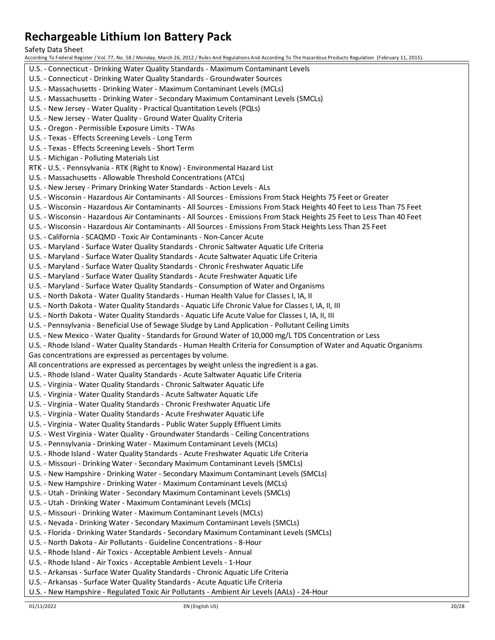Safety Data Sheet

According To Federal Register / Vol. 77, No. 58 / Monday, March 26, 2012 / Rules And Regulations And According To The Hazardous Products Regulation (February 11, 2015). U.S. - Connecticut - Drinking Water Quality Standards - Maximum Contaminant Levels U.S. - Connecticut - Drinking Water Quality Standards - Groundwater Sources U.S. - Massachusetts - Drinking Water - Maximum Contaminant Levels (MCLs) U.S. - Massachusetts - Drinking Water - Secondary Maximum Contaminant Levels (SMCLs) U.S. - New Jersey - Water Quality - Practical Quantitation Levels (PQLs) U.S. - New Jersey - Water Quality - Ground Water Quality Criteria U.S. - Oregon - Permissible Exposure Limits - TWAs U.S. - Texas - Effects Screening Levels - Long Term U.S. - Texas - Effects Screening Levels - Short Term U.S. - Michigan - Polluting Materials List RTK - U.S. - Pennsylvania - RTK (Right to Know) - Environmental Hazard List U.S. - Massachusetts - Allowable Threshold Concentrations (ATCs) U.S. - New Jersey - Primary Drinking Water Standards - Action Levels - ALs U.S. - Wisconsin - Hazardous Air Contaminants - All Sources - Emissions From Stack Heights 75 Feet or Greater U.S. - Wisconsin - Hazardous Air Contaminants - All Sources - Emissions From Stack Heights 40 Feet to Less Than 75 Feet U.S. - Wisconsin - Hazardous Air Contaminants - All Sources - Emissions From Stack Heights 25 Feet to Less Than 40 Feet U.S. - Wisconsin - Hazardous Air Contaminants - All Sources - Emissions From Stack Heights Less Than 25 Feet U.S. - California - SCAQMD - Toxic Air Contaminants - Non-Cancer Acute U.S. - Maryland - Surface Water Quality Standards - Chronic Saltwater Aquatic Life Criteria U.S. - Maryland - Surface Water Quality Standards - Acute Saltwater Aquatic Life Criteria U.S. - Maryland - Surface Water Quality Standards - Chronic Freshwater Aquatic Life U.S. - Maryland - Surface Water Quality Standards - Acute Freshwater Aquatic Life U.S. - Maryland - Surface Water Quality Standards - Consumption of Water and Organisms U.S. - North Dakota - Water Quality Standards - Human Health Value for Classes I, IA, II U.S. - North Dakota - Water Quality Standards - Aquatic Life Chronic Value for Classes I, IA, II, III U.S. - North Dakota - Water Quality Standards - Aquatic Life Acute Value for Classes I, IA, II, III U.S. - Pennsylvania - Beneficial Use of Sewage Sludge by Land Application - Pollutant Ceiling Limits U.S. - New Mexico - Water Quality - Standards for Ground Water of 10,000 mg/L TDS Concentration or Less U.S. - Rhode Island - Water Quality Standards - Human Health Criteria for Consumption of Water and Aquatic Organisms Gas concentrations are expressed as percentages by volume. All concentrations are expressed as percentages by weight unless the ingredient is a gas. U.S. - Rhode Island - Water Quality Standards - Acute Saltwater Aquatic Life Criteria U.S. - Virginia - Water Quality Standards - Chronic Saltwater Aquatic Life U.S. - Virginia - Water Quality Standards - Acute Saltwater Aquatic Life U.S. - Virginia - Water Quality Standards - Chronic Freshwater Aquatic Life U.S. - Virginia - Water Quality Standards - Acute Freshwater Aquatic Life U.S. - Virginia - Water Quality Standards - Public Water Supply Effluent Limits U.S. - West Virginia - Water Quality - Groundwater Standards - Ceiling Concentrations U.S. - Pennsylvania - Drinking Water - Maximum Contaminant Levels (MCLs) U.S. - Rhode Island - Water Quality Standards - Acute Freshwater Aquatic Life Criteria U.S. - Missouri - Drinking Water - Secondary Maximum Contaminant Levels (SMCLs) U.S. - New Hampshire - Drinking Water - Secondary Maximum Contaminant Levels (SMCLs) U.S. - New Hampshire - Drinking Water - Maximum Contaminant Levels (MCLs) U.S. - Utah - Drinking Water - Secondary Maximum Contaminant Levels (SMCLs) U.S. - Utah - Drinking Water - Maximum Contaminant Levels (MCLs) U.S. - Missouri - Drinking Water - Maximum Contaminant Levels (MCLs) U.S. - Nevada - Drinking Water - Secondary Maximum Contaminant Levels (SMCLs) U.S. - Florida - Drinking Water Standards - Secondary Maximum Contaminant Levels (SMCLs) U.S. - North Dakota - Air Pollutants - Guideline Concentrations - 8-Hour U.S. - Rhode Island - Air Toxics - Acceptable Ambient Levels - Annual U.S. - Rhode Island - Air Toxics - Acceptable Ambient Levels - 1-Hour U.S. - Arkansas - Surface Water Quality Standards - Chronic Aquatic Life Criteria U.S. - Arkansas - Surface Water Quality Standards - Acute Aquatic Life Criteria

U.S. - New Hampshire - Regulated Toxic Air Pollutants - Ambient Air Levels (AALs) - 24-Hour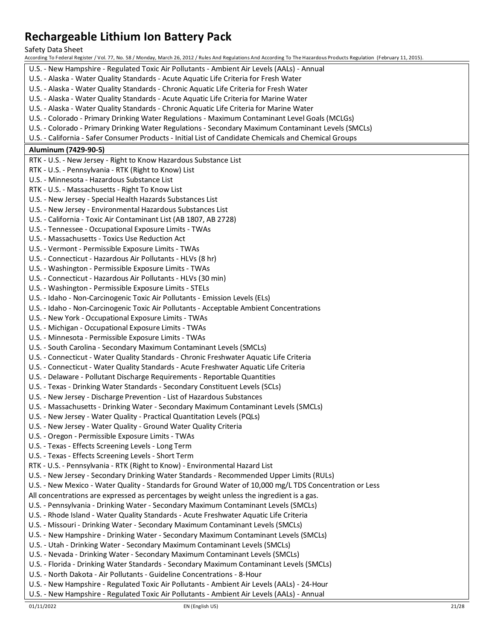Safety Data Sheet

- U.S. New Hampshire Regulated Toxic Air Pollutants Ambient Air Levels (AALs) Annual
- U.S. Alaska Water Quality Standards Acute Aquatic Life Criteria for Fresh Water
- U.S. Alaska Water Quality Standards Chronic Aquatic Life Criteria for Fresh Water
- U.S. Alaska Water Quality Standards Acute Aquatic Life Criteria for Marine Water
- U.S. Alaska Water Quality Standards Chronic Aquatic Life Criteria for Marine Water
- U.S. Colorado Primary Drinking Water Regulations Maximum Contaminant Level Goals (MCLGs)
- U.S. Colorado Primary Drinking Water Regulations Secondary Maximum Contaminant Levels (SMCLs)
- U.S. California Safer Consumer Products Initial List of Candidate Chemicals and Chemical Groups
- **Aluminum (7429-90-5)** RTK - U.S. - New Jersey - Right to Know Hazardous Substance List RTK - U.S. - Pennsylvania - RTK (Right to Know) List U.S. - Minnesota - Hazardous Substance List RTK - U.S. - Massachusetts - Right To Know List U.S. - New Jersey - Special Health Hazards Substances List U.S. - New Jersey - Environmental Hazardous Substances List U.S. - California - Toxic Air Contaminant List (AB 1807, AB 2728) U.S. - Tennessee - Occupational Exposure Limits - TWAs U.S. - Massachusetts - Toxics Use Reduction Act U.S. - Vermont - Permissible Exposure Limits - TWAs U.S. - Connecticut - Hazardous Air Pollutants - HLVs (8 hr) U.S. - Washington - Permissible Exposure Limits - TWAs U.S. - Connecticut - Hazardous Air Pollutants - HLVs (30 min) U.S. - Washington - Permissible Exposure Limits - STELs U.S. - Idaho - Non-Carcinogenic Toxic Air Pollutants - Emission Levels (ELs) U.S. - Idaho - Non-Carcinogenic Toxic Air Pollutants - Acceptable Ambient Concentrations U.S. - New York - Occupational Exposure Limits - TWAs U.S. - Michigan - Occupational Exposure Limits - TWAs U.S. - Minnesota - Permissible Exposure Limits - TWAs U.S. - South Carolina - Secondary Maximum Contaminant Levels (SMCLs) U.S. - Connecticut - Water Quality Standards - Chronic Freshwater Aquatic Life Criteria U.S. - Connecticut - Water Quality Standards - Acute Freshwater Aquatic Life Criteria U.S. - Delaware - Pollutant Discharge Requirements - Reportable Quantities U.S. - Texas - Drinking Water Standards - Secondary Constituent Levels (SCLs) U.S. - New Jersey - Discharge Prevention - List of Hazardous Substances U.S. - Massachusetts - Drinking Water - Secondary Maximum Contaminant Levels (SMCLs) U.S. - New Jersey - Water Quality - Practical Quantitation Levels (PQLs) U.S. - New Jersey - Water Quality - Ground Water Quality Criteria U.S. - Oregon - Permissible Exposure Limits - TWAs U.S. - Texas - Effects Screening Levels - Long Term U.S. - Texas - Effects Screening Levels - Short Term RTK - U.S. - Pennsylvania - RTK (Right to Know) - Environmental Hazard List U.S. - New Jersey - Secondary Drinking Water Standards - Recommended Upper Limits (RULs) U.S. - New Mexico - Water Quality - Standards for Ground Water of 10,000 mg/L TDS Concentration or Less All concentrations are expressed as percentages by weight unless the ingredient is a gas. U.S. - Pennsylvania - Drinking Water - Secondary Maximum Contaminant Levels (SMCLs) U.S. - Rhode Island - Water Quality Standards - Acute Freshwater Aquatic Life Criteria U.S. - Missouri - Drinking Water - Secondary Maximum Contaminant Levels (SMCLs) U.S. - New Hampshire - Drinking Water - Secondary Maximum Contaminant Levels (SMCLs) U.S. - Utah - Drinking Water - Secondary Maximum Contaminant Levels (SMCLs) U.S. - Nevada - Drinking Water - Secondary Maximum Contaminant Levels (SMCLs) U.S. - Florida - Drinking Water Standards - Secondary Maximum Contaminant Levels (SMCLs) U.S. - North Dakota - Air Pollutants - Guideline Concentrations - 8-Hour U.S. - New Hampshire - Regulated Toxic Air Pollutants - Ambient Air Levels (AALs) - 24-Hour
	- U.S. New Hampshire Regulated Toxic Air Pollutants Ambient Air Levels (AALs) Annual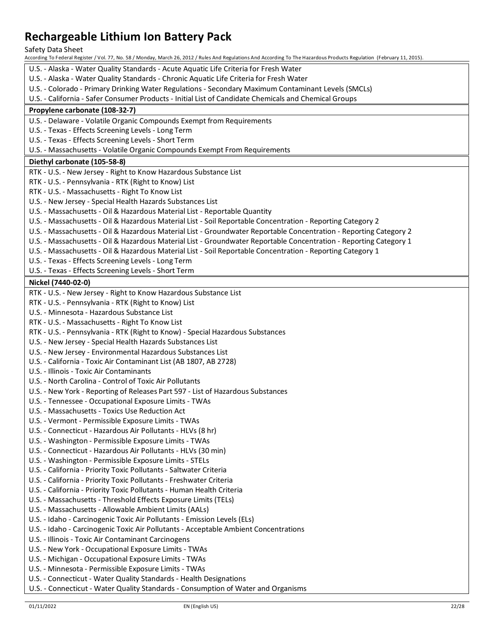Safety Data Sheet

According To Federal Register / Vol. 77, No. 58 / Monday, March 26, 2012 / Rules And Regulations And According To The Hazardous Products Regulation (February 11, 2015).

- U.S. Alaska Water Quality Standards Acute Aquatic Life Criteria for Fresh Water
- U.S. Alaska Water Quality Standards Chronic Aquatic Life Criteria for Fresh Water
- U.S. Colorado Primary Drinking Water Regulations Secondary Maximum Contaminant Levels (SMCLs)
- U.S. California Safer Consumer Products Initial List of Candidate Chemicals and Chemical Groups

### **Propylene carbonate (108-32-7)**

U.S. - Delaware - Volatile Organic Compounds Exempt from Requirements

- U.S. Texas Effects Screening Levels Long Term
- U.S. Texas Effects Screening Levels Short Term
- U.S. Massachusetts Volatile Organic Compounds Exempt From Requirements

### **Diethyl carbonate (105-58-8)**

- RTK U.S. New Jersey Right to Know Hazardous Substance List
- RTK U.S. Pennsylvania RTK (Right to Know) List
- RTK U.S. Massachusetts Right To Know List
- U.S. New Jersey Special Health Hazards Substances List
- U.S. Massachusetts Oil & Hazardous Material List Reportable Quantity
- U.S. Massachusetts Oil & Hazardous Material List Soil Reportable Concentration Reporting Category 2
- U.S. Massachusetts Oil & Hazardous Material List Groundwater Reportable Concentration Reporting Category 2
- U.S. Massachusetts Oil & Hazardous Material List Groundwater Reportable Concentration Reporting Category 1
- U.S. Massachusetts Oil & Hazardous Material List Soil Reportable Concentration Reporting Category 1
- U.S. Texas Effects Screening Levels Long Term
- U.S. Texas Effects Screening Levels Short Term

### **Nickel (7440-02-0)**

- RTK U.S. New Jersey Right to Know Hazardous Substance List
- RTK U.S. Pennsylvania RTK (Right to Know) List
- U.S. Minnesota Hazardous Substance List
- RTK U.S. Massachusetts Right To Know List
- RTK U.S. Pennsylvania RTK (Right to Know) Special Hazardous Substances
- U.S. New Jersey Special Health Hazards Substances List
- U.S. New Jersey Environmental Hazardous Substances List
- U.S. California Toxic Air Contaminant List (AB 1807, AB 2728)
- U.S. Illinois Toxic Air Contaminants
- U.S. North Carolina Control of Toxic Air Pollutants
- U.S. New York Reporting of Releases Part 597 List of Hazardous Substances
- U.S. Tennessee Occupational Exposure Limits TWAs
- U.S. Massachusetts Toxics Use Reduction Act
- U.S. Vermont Permissible Exposure Limits TWAs
- U.S. Connecticut Hazardous Air Pollutants HLVs (8 hr)
- U.S. Washington Permissible Exposure Limits TWAs
- U.S. Connecticut Hazardous Air Pollutants HLVs (30 min)
- U.S. Washington Permissible Exposure Limits STELs
- U.S. California Priority Toxic Pollutants Saltwater Criteria
- U.S. California Priority Toxic Pollutants Freshwater Criteria
- U.S. California Priority Toxic Pollutants Human Health Criteria
- U.S. Massachusetts Threshold Effects Exposure Limits (TELs)
- U.S. Massachusetts Allowable Ambient Limits (AALs)
- U.S. Idaho Carcinogenic Toxic Air Pollutants Emission Levels (ELs)
- U.S. Idaho Carcinogenic Toxic Air Pollutants Acceptable Ambient Concentrations
- U.S. Illinois Toxic Air Contaminant Carcinogens
- U.S. New York Occupational Exposure Limits TWAs
- U.S. Michigan Occupational Exposure Limits TWAs
- U.S. Minnesota Permissible Exposure Limits TWAs
- U.S. Connecticut Water Quality Standards Health Designations
- U.S. Connecticut Water Quality Standards Consumption of Water and Organisms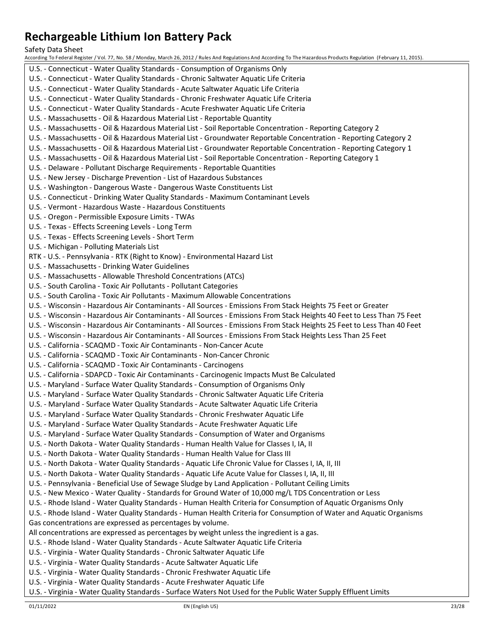Safety Data Sheet

According To Federal Register / Vol. 77, No. 58 / Monday, March 26, 2012 / Rules And Regulations And According To The Hazardous Products Regulation (February 11, 2015). U.S. - Connecticut - Water Quality Standards - Consumption of Organisms Only U.S. - Connecticut - Water Quality Standards - Chronic Saltwater Aquatic Life Criteria U.S. - Connecticut - Water Quality Standards - Acute Saltwater Aquatic Life Criteria U.S. - Connecticut - Water Quality Standards - Chronic Freshwater Aquatic Life Criteria U.S. - Connecticut - Water Quality Standards - Acute Freshwater Aquatic Life Criteria U.S. - Massachusetts - Oil & Hazardous Material List - Reportable Quantity U.S. - Massachusetts - Oil & Hazardous Material List - Soil Reportable Concentration - Reporting Category 2 U.S. - Massachusetts - Oil & Hazardous Material List - Groundwater Reportable Concentration - Reporting Category 2 U.S. - Massachusetts - Oil & Hazardous Material List - Groundwater Reportable Concentration - Reporting Category 1 U.S. - Massachusetts - Oil & Hazardous Material List - Soil Reportable Concentration - Reporting Category 1 U.S. - Delaware - Pollutant Discharge Requirements - Reportable Quantities U.S. - New Jersey - Discharge Prevention - List of Hazardous Substances U.S. - Washington - Dangerous Waste - Dangerous Waste Constituents List U.S. - Connecticut - Drinking Water Quality Standards - Maximum Contaminant Levels U.S. - Vermont - Hazardous Waste - Hazardous Constituents U.S. - Oregon - Permissible Exposure Limits - TWAs U.S. - Texas - Effects Screening Levels - Long Term U.S. - Texas - Effects Screening Levels - Short Term U.S. - Michigan - Polluting Materials List RTK - U.S. - Pennsylvania - RTK (Right to Know) - Environmental Hazard List U.S. - Massachusetts - Drinking Water Guidelines U.S. - Massachusetts - Allowable Threshold Concentrations (ATCs) U.S. - South Carolina - Toxic Air Pollutants - Pollutant Categories U.S. - South Carolina - Toxic Air Pollutants - Maximum Allowable Concentrations U.S. - Wisconsin - Hazardous Air Contaminants - All Sources - Emissions From Stack Heights 75 Feet or Greater U.S. - Wisconsin - Hazardous Air Contaminants - All Sources - Emissions From Stack Heights 40 Feet to Less Than 75 Feet U.S. - Wisconsin - Hazardous Air Contaminants - All Sources - Emissions From Stack Heights 25 Feet to Less Than 40 Feet U.S. - Wisconsin - Hazardous Air Contaminants - All Sources - Emissions From Stack Heights Less Than 25 Feet U.S. - California - SCAQMD - Toxic Air Contaminants - Non-Cancer Acute U.S. - California - SCAQMD - Toxic Air Contaminants - Non-Cancer Chronic U.S. - California - SCAQMD - Toxic Air Contaminants - Carcinogens U.S. - California - SDAPCD - Toxic Air Contaminants - Carcinogenic Impacts Must Be Calculated U.S. - Maryland - Surface Water Quality Standards - Consumption of Organisms Only U.S. - Maryland - Surface Water Quality Standards - Chronic Saltwater Aquatic Life Criteria U.S. - Maryland - Surface Water Quality Standards - Acute Saltwater Aquatic Life Criteria U.S. - Maryland - Surface Water Quality Standards - Chronic Freshwater Aquatic Life U.S. - Maryland - Surface Water Quality Standards - Acute Freshwater Aquatic Life U.S. - Maryland - Surface Water Quality Standards - Consumption of Water and Organisms U.S. - North Dakota - Water Quality Standards - Human Health Value for Classes I, IA, II U.S. - North Dakota - Water Quality Standards - Human Health Value for Class III U.S. - North Dakota - Water Quality Standards - Aquatic Life Chronic Value for Classes I, IA, II, III U.S. - North Dakota - Water Quality Standards - Aquatic Life Acute Value for Classes I, IA, II, III U.S. - Pennsylvania - Beneficial Use of Sewage Sludge by Land Application - Pollutant Ceiling Limits U.S. - New Mexico - Water Quality - Standards for Ground Water of 10,000 mg/L TDS Concentration or Less U.S. - Rhode Island - Water Quality Standards - Human Health Criteria for Consumption of Aquatic Organisms Only U.S. - Rhode Island - Water Quality Standards - Human Health Criteria for Consumption of Water and Aquatic Organisms Gas concentrations are expressed as percentages by volume. All concentrations are expressed as percentages by weight unless the ingredient is a gas. U.S. - Rhode Island - Water Quality Standards - Acute Saltwater Aquatic Life Criteria U.S. - Virginia - Water Quality Standards - Chronic Saltwater Aquatic Life U.S. - Virginia - Water Quality Standards - Acute Saltwater Aquatic Life U.S. - Virginia - Water Quality Standards - Chronic Freshwater Aquatic Life U.S. - Virginia - Water Quality Standards - Acute Freshwater Aquatic Life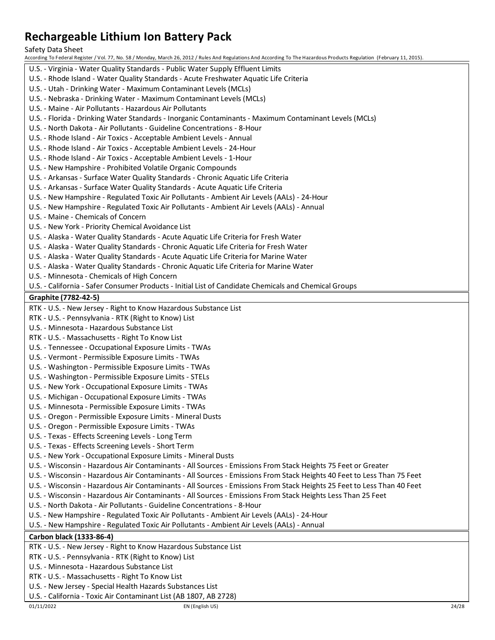Safety Data Sheet

According To Federal Register / Vol. 77, No. 58 / Monday, March 26, 2012 / Rules And Regulations And According To The Hazardous Products Regulation (February 11, 2015). U.S. - Virginia - Water Quality Standards - Public Water Supply Effluent Limits U.S. - Rhode Island - Water Quality Standards - Acute Freshwater Aquatic Life Criteria U.S. - Utah - Drinking Water - Maximum Contaminant Levels (MCLs) U.S. - Nebraska - Drinking Water - Maximum Contaminant Levels (MCLs) U.S. - Maine - Air Pollutants - Hazardous Air Pollutants U.S. - Florida - Drinking Water Standards - Inorganic Contaminants - Maximum Contaminant Levels (MCLs) U.S. - North Dakota - Air Pollutants - Guideline Concentrations - 8-Hour U.S. - Rhode Island - Air Toxics - Acceptable Ambient Levels - Annual U.S. - Rhode Island - Air Toxics - Acceptable Ambient Levels - 24-Hour U.S. - Rhode Island - Air Toxics - Acceptable Ambient Levels - 1-Hour U.S. - New Hampshire - Prohibited Volatile Organic Compounds U.S. - Arkansas - Surface Water Quality Standards - Chronic Aquatic Life Criteria U.S. - Arkansas - Surface Water Quality Standards - Acute Aquatic Life Criteria U.S. - New Hampshire - Regulated Toxic Air Pollutants - Ambient Air Levels (AALs) - 24-Hour U.S. - New Hampshire - Regulated Toxic Air Pollutants - Ambient Air Levels (AALs) - Annual U.S. - Maine - Chemicals of Concern U.S. - New York - Priority Chemical Avoidance List U.S. - Alaska - Water Quality Standards - Acute Aquatic Life Criteria for Fresh Water U.S. - Alaska - Water Quality Standards - Chronic Aquatic Life Criteria for Fresh Water U.S. - Alaska - Water Quality Standards - Acute Aquatic Life Criteria for Marine Water U.S. - Alaska - Water Quality Standards - Chronic Aquatic Life Criteria for Marine Water U.S. - Minnesota - Chemicals of High Concern U.S. - California - Safer Consumer Products - Initial List of Candidate Chemicals and Chemical Groups **Graphite (7782-42-5)** RTK - U.S. - New Jersey - Right to Know Hazardous Substance List RTK - U.S. - Pennsylvania - RTK (Right to Know) List U.S. - Minnesota - Hazardous Substance List RTK - U.S. - Massachusetts - Right To Know List U.S. - Tennessee - Occupational Exposure Limits - TWAs U.S. - Vermont - Permissible Exposure Limits - TWAs U.S. - Washington - Permissible Exposure Limits - TWAs U.S. - Washington - Permissible Exposure Limits - STELs U.S. - New York - Occupational Exposure Limits - TWAs U.S. - Michigan - Occupational Exposure Limits - TWAs U.S. - Minnesota - Permissible Exposure Limits - TWAs U.S. - Oregon - Permissible Exposure Limits - Mineral Dusts U.S. - Oregon - Permissible Exposure Limits - TWAs U.S. - Texas - Effects Screening Levels - Long Term U.S. - Texas - Effects Screening Levels - Short Term U.S. - New York - Occupational Exposure Limits - Mineral Dusts U.S. - Wisconsin - Hazardous Air Contaminants - All Sources - Emissions From Stack Heights 75 Feet or Greater U.S. - Wisconsin - Hazardous Air Contaminants - All Sources - Emissions From Stack Heights 40 Feet to Less Than 75 Feet U.S. - Wisconsin - Hazardous Air Contaminants - All Sources - Emissions From Stack Heights 25 Feet to Less Than 40 Feet U.S. - Wisconsin - Hazardous Air Contaminants - All Sources - Emissions From Stack Heights Less Than 25 Feet U.S. - North Dakota - Air Pollutants - Guideline Concentrations - 8-Hour U.S. - New Hampshire - Regulated Toxic Air Pollutants - Ambient Air Levels (AALs) - 24-Hour U.S. - New Hampshire - Regulated Toxic Air Pollutants - Ambient Air Levels (AALs) - Annual **Carbon black (1333-86-4)** RTK - U.S. - New Jersey - Right to Know Hazardous Substance List RTK - U.S. - Pennsylvania - RTK (Right to Know) List U.S. - Minnesota - Hazardous Substance List RTK - U.S. - Massachusetts - Right To Know List U.S. - New Jersey - Special Health Hazards Substances List

U.S. - California - Toxic Air Contaminant List (AB 1807, AB 2728)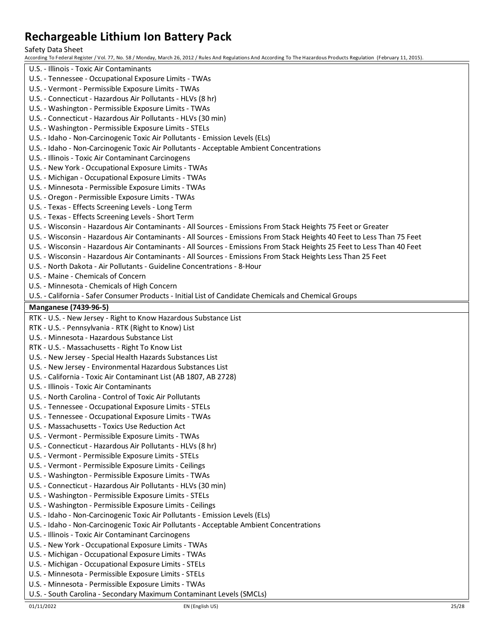Safety Data Sheet

According To Federal Register / Vol. 77, No. 58 / Monday, March 26, 2012 / Rules And Regulations And According To The Hazardous Products Regulation (February 11, 2015).

U.S. - Illinois - Toxic Air Contaminants U.S. - Tennessee - Occupational Exposure Limits - TWAs U.S. - Vermont - Permissible Exposure Limits - TWAs U.S. - Connecticut - Hazardous Air Pollutants - HLVs (8 hr) U.S. - Washington - Permissible Exposure Limits - TWAs U.S. - Connecticut - Hazardous Air Pollutants - HLVs (30 min) U.S. - Washington - Permissible Exposure Limits - STELs U.S. - Idaho - Non-Carcinogenic Toxic Air Pollutants - Emission Levels (ELs) U.S. - Idaho - Non-Carcinogenic Toxic Air Pollutants - Acceptable Ambient Concentrations U.S. - Illinois - Toxic Air Contaminant Carcinogens U.S. - New York - Occupational Exposure Limits - TWAs U.S. - Michigan - Occupational Exposure Limits - TWAs U.S. - Minnesota - Permissible Exposure Limits - TWAs U.S. - Oregon - Permissible Exposure Limits - TWAs U.S. - Texas - Effects Screening Levels - Long Term U.S. - Texas - Effects Screening Levels - Short Term U.S. - Wisconsin - Hazardous Air Contaminants - All Sources - Emissions From Stack Heights 75 Feet or Greater U.S. - Wisconsin - Hazardous Air Contaminants - All Sources - Emissions From Stack Heights 40 Feet to Less Than 75 Feet U.S. - Wisconsin - Hazardous Air Contaminants - All Sources - Emissions From Stack Heights 25 Feet to Less Than 40 Feet U.S. - Wisconsin - Hazardous Air Contaminants - All Sources - Emissions From Stack Heights Less Than 25 Feet U.S. - North Dakota - Air Pollutants - Guideline Concentrations - 8-Hour U.S. - Maine - Chemicals of Concern U.S. - Minnesota - Chemicals of High Concern U.S. - California - Safer Consumer Products - Initial List of Candidate Chemicals and Chemical Groups **Manganese (7439-96-5)** RTK - U.S. - New Jersey - Right to Know Hazardous Substance List RTK - U.S. - Pennsylvania - RTK (Right to Know) List U.S. - Minnesota - Hazardous Substance List RTK - U.S. - Massachusetts - Right To Know List U.S. - New Jersey - Special Health Hazards Substances List U.S. - New Jersey - Environmental Hazardous Substances List U.S. - California - Toxic Air Contaminant List (AB 1807, AB 2728) U.S. - Illinois - Toxic Air Contaminants U.S. - North Carolina - Control of Toxic Air Pollutants U.S. - Tennessee - Occupational Exposure Limits - STELs U.S. - Tennessee - Occupational Exposure Limits - TWAs U.S. - Massachusetts - Toxics Use Reduction Act U.S. - Vermont - Permissible Exposure Limits - TWAs U.S. - Connecticut - Hazardous Air Pollutants - HLVs (8 hr) U.S. - Vermont - Permissible Exposure Limits - STELs U.S. - Vermont - Permissible Exposure Limits - Ceilings U.S. - Washington - Permissible Exposure Limits - TWAs U.S. - Connecticut - Hazardous Air Pollutants - HLVs (30 min) U.S. - Washington - Permissible Exposure Limits - STELs U.S. - Washington - Permissible Exposure Limits - Ceilings U.S. - Idaho - Non-Carcinogenic Toxic Air Pollutants - Emission Levels (ELs) U.S. - Idaho - Non-Carcinogenic Toxic Air Pollutants - Acceptable Ambient Concentrations U.S. - Illinois - Toxic Air Contaminant Carcinogens U.S. - New York - Occupational Exposure Limits - TWAs U.S. - Michigan - Occupational Exposure Limits - TWAs U.S. - Michigan - Occupational Exposure Limits - STELs U.S. - Minnesota - Permissible Exposure Limits - STELs U.S. - Minnesota - Permissible Exposure Limits - TWAs U.S. - South Carolina - Secondary Maximum Contaminant Levels (SMCLs)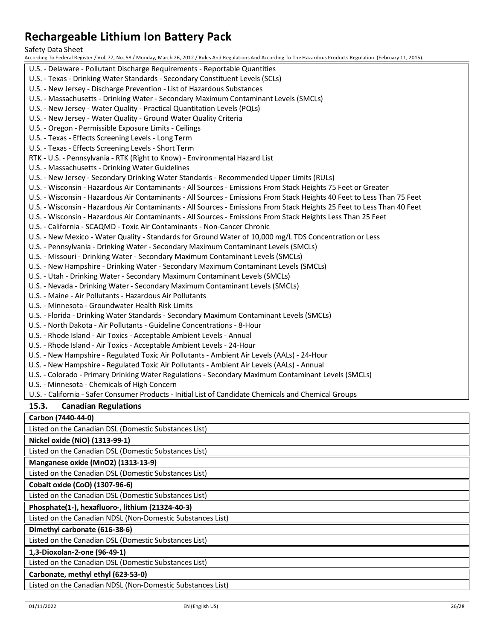Safety Data Sheet

According To Federal Register / Vol. 77, No. 58 / Monday, March 26, 2012 / Rules And Regulations And According To The Hazardous Products Regulation (February 11, 2015).

U.S. - Delaware - Pollutant Discharge Requirements - Reportable Quantities U.S. - Texas - Drinking Water Standards - Secondary Constituent Levels (SCLs) U.S. - New Jersey - Discharge Prevention - List of Hazardous Substances U.S. - Massachusetts - Drinking Water - Secondary Maximum Contaminant Levels (SMCLs) U.S. - New Jersey - Water Quality - Practical Quantitation Levels (PQLs) U.S. - New Jersey - Water Quality - Ground Water Quality Criteria U.S. - Oregon - Permissible Exposure Limits - Ceilings U.S. - Texas - Effects Screening Levels - Long Term U.S. - Texas - Effects Screening Levels - Short Term RTK - U.S. - Pennsylvania - RTK (Right to Know) - Environmental Hazard List U.S. - Massachusetts - Drinking Water Guidelines U.S. - New Jersey - Secondary Drinking Water Standards - Recommended Upper Limits (RULs) U.S. - Wisconsin - Hazardous Air Contaminants - All Sources - Emissions From Stack Heights 75 Feet or Greater U.S. - Wisconsin - Hazardous Air Contaminants - All Sources - Emissions From Stack Heights 40 Feet to Less Than 75 Feet U.S. - Wisconsin - Hazardous Air Contaminants - All Sources - Emissions From Stack Heights 25 Feet to Less Than 40 Feet U.S. - Wisconsin - Hazardous Air Contaminants - All Sources - Emissions From Stack Heights Less Than 25 Feet U.S. - California - SCAQMD - Toxic Air Contaminants - Non-Cancer Chronic U.S. - New Mexico - Water Quality - Standards for Ground Water of 10,000 mg/L TDS Concentration or Less U.S. - Pennsylvania - Drinking Water - Secondary Maximum Contaminant Levels (SMCLs) U.S. - Missouri - Drinking Water - Secondary Maximum Contaminant Levels (SMCLs) U.S. - New Hampshire - Drinking Water - Secondary Maximum Contaminant Levels (SMCLs) U.S. - Utah - Drinking Water - Secondary Maximum Contaminant Levels (SMCLs) U.S. - Nevada - Drinking Water - Secondary Maximum Contaminant Levels (SMCLs) U.S. - Maine - Air Pollutants - Hazardous Air Pollutants U.S. - Minnesota - Groundwater Health Risk Limits U.S. - Florida - Drinking Water Standards - Secondary Maximum Contaminant Levels (SMCLs) U.S. - North Dakota - Air Pollutants - Guideline Concentrations - 8-Hour U.S. - Rhode Island - Air Toxics - Acceptable Ambient Levels - Annual U.S. - Rhode Island - Air Toxics - Acceptable Ambient Levels - 24-Hour U.S. - New Hampshire - Regulated Toxic Air Pollutants - Ambient Air Levels (AALs) - 24-Hour U.S. - New Hampshire - Regulated Toxic Air Pollutants - Ambient Air Levels (AALs) - Annual U.S. - Colorado - Primary Drinking Water Regulations - Secondary Maximum Contaminant Levels (SMCLs) U.S. - Minnesota - Chemicals of High Concern U.S. - California - Safer Consumer Products - Initial List of Candidate Chemicals and Chemical Groups **15.3. Canadian Regulations Carbon (7440-44-0)** Listed on the Canadian DSL (Domestic Substances List) **Nickel oxide (NiO) (1313-99-1)**

Listed on the Canadian DSL (Domestic Substances List)

**Manganese oxide (MnO2) (1313-13-9)**

Listed on the Canadian DSL (Domestic Substances List)

## **Cobalt oxide (CoO) (1307-96-6)**

Listed on the Canadian DSL (Domestic Substances List)

**Phosphate(1-), hexafluoro-, lithium (21324-40-3)**

Listed on the Canadian NDSL (Non-Domestic Substances List)

### **Dimethyl carbonate (616-38-6)**

Listed on the Canadian DSL (Domestic Substances List)

**1,3-Dioxolan-2-one (96-49-1)**

Listed on the Canadian DSL (Domestic Substances List)

#### **Carbonate, methyl ethyl (623-53-0)**

Listed on the Canadian NDSL (Non-Domestic Substances List)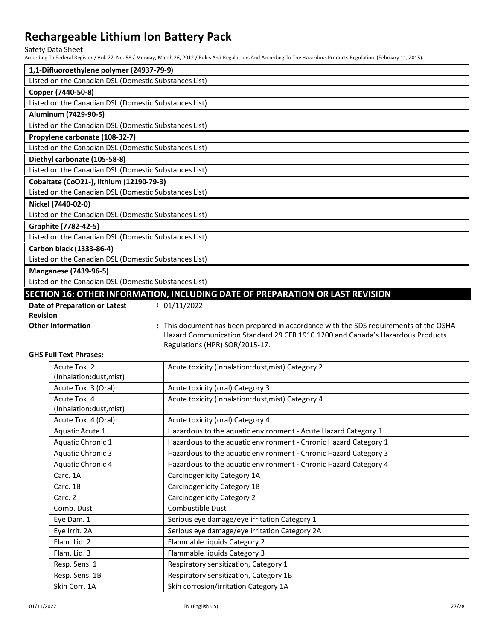Safety Data Sheet

According To Federal Register / Vol. 77, No. 58 / Monday, March 26, 2012 / Rules And Regulations And According To The Hazardous Products Regulation (February 11, 2015).

| 1,1-Difluoroethylene polymer (24937-79-9)                                     |                                                                                                                                                                         |  |
|-------------------------------------------------------------------------------|-------------------------------------------------------------------------------------------------------------------------------------------------------------------------|--|
| Listed on the Canadian DSL (Domestic Substances List)                         |                                                                                                                                                                         |  |
| Copper (7440-50-8)                                                            |                                                                                                                                                                         |  |
| Listed on the Canadian DSL (Domestic Substances List)                         |                                                                                                                                                                         |  |
| Aluminum (7429-90-5)                                                          |                                                                                                                                                                         |  |
| Listed on the Canadian DSL (Domestic Substances List)                         |                                                                                                                                                                         |  |
| Propylene carbonate (108-32-7)                                                |                                                                                                                                                                         |  |
| Listed on the Canadian DSL (Domestic Substances List)                         |                                                                                                                                                                         |  |
| Diethyl carbonate (105-58-8)                                                  |                                                                                                                                                                         |  |
| Listed on the Canadian DSL (Domestic Substances List)                         |                                                                                                                                                                         |  |
| Cobaltate (CoO21-), lithium (12190-79-3)                                      |                                                                                                                                                                         |  |
| Listed on the Canadian DSL (Domestic Substances List)                         |                                                                                                                                                                         |  |
| Nickel (7440-02-0)                                                            |                                                                                                                                                                         |  |
| Listed on the Canadian DSL (Domestic Substances List)                         |                                                                                                                                                                         |  |
| Graphite (7782-42-5)                                                          |                                                                                                                                                                         |  |
| Listed on the Canadian DSL (Domestic Substances List)                         |                                                                                                                                                                         |  |
| Carbon black (1333-86-4)                                                      |                                                                                                                                                                         |  |
| Listed on the Canadian DSL (Domestic Substances List)                         |                                                                                                                                                                         |  |
| <b>Manganese (7439-96-5)</b>                                                  |                                                                                                                                                                         |  |
| Listed on the Canadian DSL (Domestic Substances List)                         |                                                                                                                                                                         |  |
| SECTION 16: OTHER INFORMATION, INCLUDING DATE OF PREPARATION OR LAST REVISION |                                                                                                                                                                         |  |
| Date of Preparation or Latest                                                 | : 01/11/2022                                                                                                                                                            |  |
| <b>Revision</b>                                                               |                                                                                                                                                                         |  |
| <b>Other Information</b>                                                      | : This document has been prepared in accordance with the SDS requirements of the OSHA<br>Ustard Communication Standard 20 CEB 1010 1200 and Canada's Ustardous Broducts |  |

Hazard Communication Standard 29 CFR 1910.1200 and Canada's Hazardous Products Regulations (HPR) SOR/2015-17.

#### **GHS Full Text Phrases:**

| Acute Tox. 2<br>(Inhalation:dust, mist) | Acute toxicity (inhalation:dust, mist) Category 2                |
|-----------------------------------------|------------------------------------------------------------------|
| Acute Tox. 3 (Oral)                     | Acute toxicity (oral) Category 3                                 |
| Acute Tox. 4<br>(Inhalation:dust, mist) | Acute toxicity (inhalation:dust, mist) Category 4                |
| Acute Tox. 4 (Oral)                     | Acute toxicity (oral) Category 4                                 |
| Aquatic Acute 1                         | Hazardous to the aquatic environment - Acute Hazard Category 1   |
| Aquatic Chronic 1                       | Hazardous to the aquatic environment - Chronic Hazard Category 1 |
| Aquatic Chronic 3                       | Hazardous to the aquatic environment - Chronic Hazard Category 3 |
| Aquatic Chronic 4                       | Hazardous to the aquatic environment - Chronic Hazard Category 4 |
| Carc. 1A                                | Carcinogenicity Category 1A                                      |
| Carc. 1B                                | Carcinogenicity Category 1B                                      |
| Carc. 2                                 | Carcinogenicity Category 2                                       |
| Comb. Dust                              | Combustible Dust                                                 |
| Eye Dam. 1                              | Serious eye damage/eye irritation Category 1                     |
| Eye Irrit. 2A                           | Serious eye damage/eye irritation Category 2A                    |
| Flam. Liq. 2                            | Flammable liquids Category 2                                     |
| Flam. Liq. 3                            | Flammable liquids Category 3                                     |
| Resp. Sens. 1                           | Respiratory sensitization, Category 1                            |
| Resp. Sens. 1B                          | Respiratory sensitization, Category 1B                           |
| Skin Corr. 1A                           | Skin corrosion/irritation Category 1A                            |